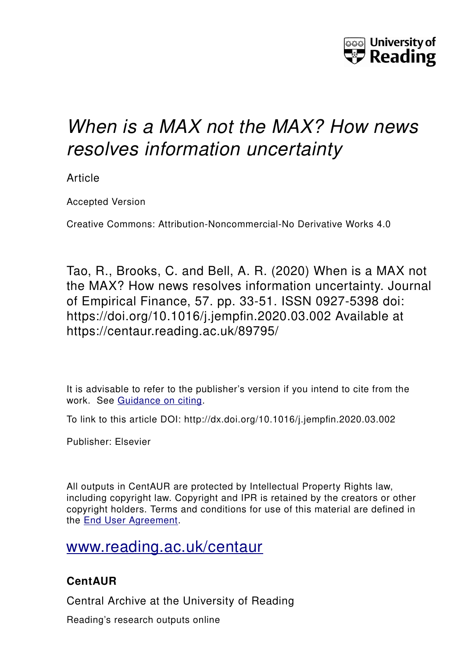

# *When is a MAX not the MAX? How news resolves information uncertainty*

Article

Accepted Version

Creative Commons: Attribution-Noncommercial-No Derivative Works 4.0

Tao, R., Brooks, C. and Bell, A. R. (2020) When is a MAX not the MAX? How news resolves information uncertainty. Journal of Empirical Finance, 57. pp. 33-51. ISSN 0927-5398 doi: https://doi.org/10.1016/j.jempfin.2020.03.002 Available at https://centaur.reading.ac.uk/89795/

It is advisable to refer to the publisher's version if you intend to cite from the work. See [Guidance on citing.](http://centaur.reading.ac.uk/71187/10/CentAUR%20citing%20guide.pdf)

To link to this article DOI: http://dx.doi.org/10.1016/j.jempfin.2020.03.002

Publisher: Elsevier

All outputs in CentAUR are protected by Intellectual Property Rights law, including copyright law. Copyright and IPR is retained by the creators or other copyright holders. Terms and conditions for use of this material are defined in the [End User Agreement.](http://centaur.reading.ac.uk/licence)

# [www.reading.ac.uk/centaur](http://www.reading.ac.uk/centaur)

# **CentAUR**

Central Archive at the University of Reading

Reading's research outputs online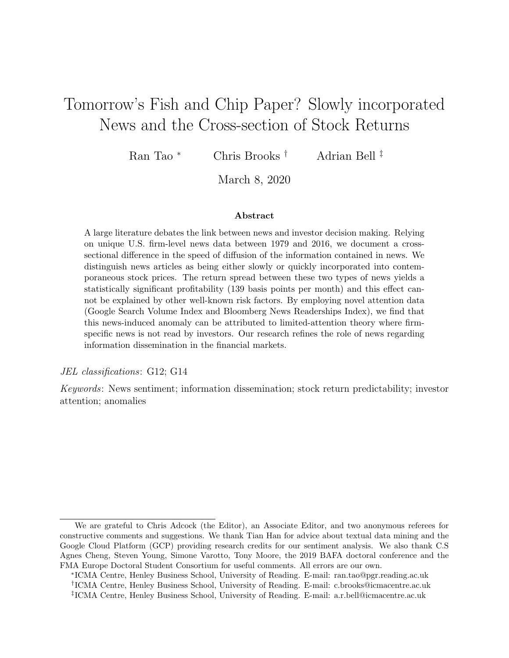# Tomorrow's Fish and Chip Paper? Slowly incorporated News and the Cross-section of Stock Returns

Ran Tao <sup>∗</sup> Chris Brooks † Adrian Bell ‡

March 8, 2020

#### Abstract

A large literature debates the link between news and investor decision making. Relying on unique U.S. firm-level news data between 1979 and 2016, we document a crosssectional difference in the speed of diffusion of the information contained in news. We distinguish news articles as being either slowly or quickly incorporated into contemporaneous stock prices. The return spread between these two types of news yields a statistically significant profitability (139 basis points per month) and this effect cannot be explained by other well-known risk factors. By employing novel attention data (Google Search Volume Index and Bloomberg News Readerships Index), we find that this news-induced anomaly can be attributed to limited-attention theory where firmspecific news is not read by investors. Our research refines the role of news regarding information dissemination in the financial markets.

JEL classifications: G12; G14

Keywords: News sentiment; information dissemination; stock return predictability; investor attention; anomalies

We are grateful to Chris Adcock (the Editor), an Associate Editor, and two anonymous referees for constructive comments and suggestions. We thank Tian Han for advice about textual data mining and the Google Cloud Platform (GCP) providing research credits for our sentiment analysis. We also thank C.S Agnes Cheng, Steven Young, Simone Varotto, Tony Moore, the 2019 BAFA doctoral conference and the FMA Europe Doctoral Student Consortium for useful comments. All errors are our own.

<sup>∗</sup> ICMA Centre, Henley Business School, University of Reading. E-mail: ran.tao@pgr.reading.ac.uk † ICMA Centre, Henley Business School, University of Reading. E-mail: c.brooks@icmacentre.ac.uk ‡ ICMA Centre, Henley Business School, University of Reading. E-mail: a.r.bell@icmacentre.ac.uk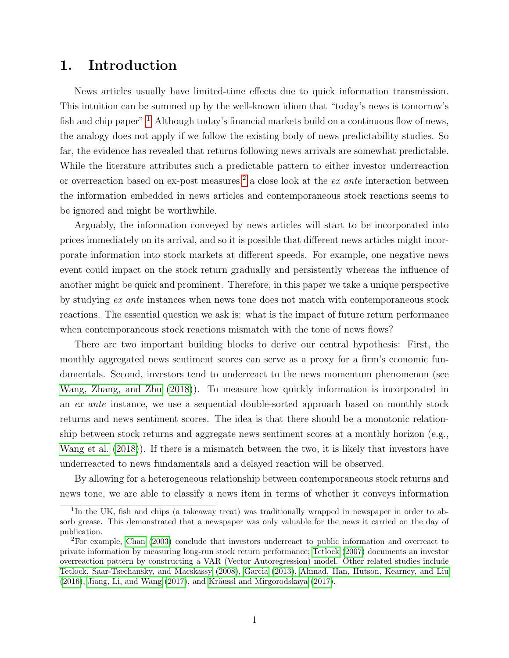# 1. Introduction

News articles usually have limited-time effects due to quick information transmission. This intuition can be summed up by the well-known idiom that "today's news is tomorrow's fish and chip paper".<sup>[1](#page-2-0)</sup> Although today's financial markets build on a continuous flow of news, the analogy does not apply if we follow the existing body of news predictability studies. So far, the evidence has revealed that returns following news arrivals are somewhat predictable. While the literature attributes such a predictable pattern to either investor underreaction or overreaction based on ex-post measures,<sup>[2](#page-2-1)</sup> a close look at the *ex ante* interaction between the information embedded in news articles and contemporaneous stock reactions seems to be ignored and might be worthwhile.

Arguably, the information conveyed by news articles will start to be incorporated into prices immediately on its arrival, and so it is possible that different news articles might incorporate information into stock markets at different speeds. For example, one negative news event could impact on the stock return gradually and persistently whereas the influence of another might be quick and prominent. Therefore, in this paper we take a unique perspective by studying ex ante instances when news tone does not match with contemporaneous stock reactions. The essential question we ask is: what is the impact of future return performance when contemporaneous stock reactions mismatch with the tone of news flows?

There are two important building blocks to derive our central hypothesis: First, the monthly aggregated news sentiment scores can serve as a proxy for a firm's economic fundamentals. Second, investors tend to underreact to the news momentum phenomenon (see [Wang, Zhang, and Zhu](#page-31-0) [\(2018\)](#page-31-0)). To measure how quickly information is incorporated in an ex ante instance, we use a sequential double-sorted approach based on monthly stock returns and news sentiment scores. The idea is that there should be a monotonic relationship between stock returns and aggregate news sentiment scores at a monthly horizon (e.g., [Wang et al.](#page-31-0) [\(2018\)](#page-31-0)). If there is a mismatch between the two, it is likely that investors have underreacted to news fundamentals and a delayed reaction will be observed.

By allowing for a heterogeneous relationship between contemporaneous stock returns and news tone, we are able to classify a news item in terms of whether it conveys information

<span id="page-2-0"></span><sup>&</sup>lt;sup>1</sup>In the UK, fish and chips (a takeaway treat) was traditionally wrapped in newspaper in order to absorb grease. This demonstrated that a newspaper was only valuable for the news it carried on the day of publication.

<span id="page-2-1"></span><sup>2</sup>For example, [Chan](#page-28-0) [\(2003\)](#page-28-0) conclude that investors underreact to public information and overreact to private information by measuring long-run stock return performance; [Tetlock](#page-31-1) [\(2007\)](#page-31-1) documents an investor overreaction pattern by constructing a VAR (Vector Autoregression) model. Other related studies include [Tetlock, Saar-Tsechansky, and Macskassy](#page-31-2) [\(2008\)](#page-31-2), [Garcia](#page-30-0) [\(2013\)](#page-30-0), [Ahmad, Han, Hutson, Kearney, and Liu](#page-28-1)  $(2016)$ , [Jiang, Li, and Wang](#page-30-1)  $(2017)$ , and Kräussl and Mirgorodskaya  $(2017)$ .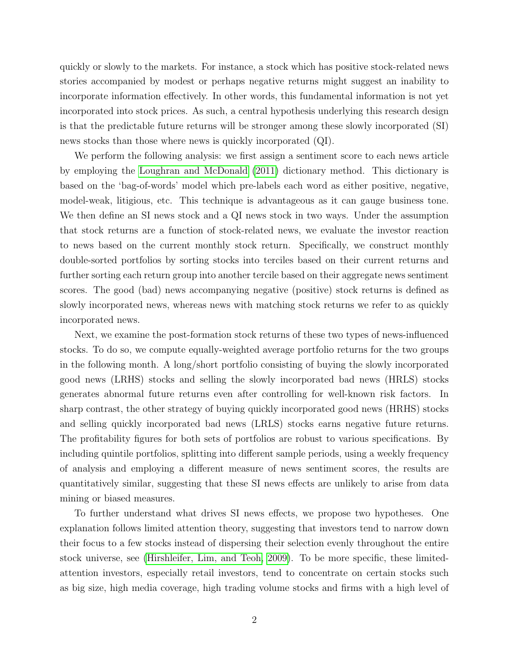quickly or slowly to the markets. For instance, a stock which has positive stock-related news stories accompanied by modest or perhaps negative returns might suggest an inability to incorporate information effectively. In other words, this fundamental information is not yet incorporated into stock prices. As such, a central hypothesis underlying this research design is that the predictable future returns will be stronger among these slowly incorporated (SI) news stocks than those where news is quickly incorporated (QI).

We perform the following analysis: we first assign a sentiment score to each news article by employing the [Loughran and McDonald](#page-31-3) [\(2011\)](#page-31-3) dictionary method. This dictionary is based on the 'bag-of-words' model which pre-labels each word as either positive, negative, model-weak, litigious, etc. This technique is advantageous as it can gauge business tone. We then define an SI news stock and a QI news stock in two ways. Under the assumption that stock returns are a function of stock-related news, we evaluate the investor reaction to news based on the current monthly stock return. Specifically, we construct monthly double-sorted portfolios by sorting stocks into terciles based on their current returns and further sorting each return group into another tercile based on their aggregate news sentiment scores. The good (bad) news accompanying negative (positive) stock returns is defined as slowly incorporated news, whereas news with matching stock returns we refer to as quickly incorporated news.

Next, we examine the post-formation stock returns of these two types of news-influenced stocks. To do so, we compute equally-weighted average portfolio returns for the two groups in the following month. A long/short portfolio consisting of buying the slowly incorporated good news (LRHS) stocks and selling the slowly incorporated bad news (HRLS) stocks generates abnormal future returns even after controlling for well-known risk factors. In sharp contrast, the other strategy of buying quickly incorporated good news (HRHS) stocks and selling quickly incorporated bad news (LRLS) stocks earns negative future returns. The profitability figures for both sets of portfolios are robust to various specifications. By including quintile portfolios, splitting into different sample periods, using a weekly frequency of analysis and employing a different measure of news sentiment scores, the results are quantitatively similar, suggesting that these SI news effects are unlikely to arise from data mining or biased measures.

To further understand what drives SI news effects, we propose two hypotheses. One explanation follows limited attention theory, suggesting that investors tend to narrow down their focus to a few stocks instead of dispersing their selection evenly throughout the entire stock universe, see [\(Hirshleifer, Lim, and Teoh, 2009\)](#page-30-3). To be more specific, these limitedattention investors, especially retail investors, tend to concentrate on certain stocks such as big size, high media coverage, high trading volume stocks and firms with a high level of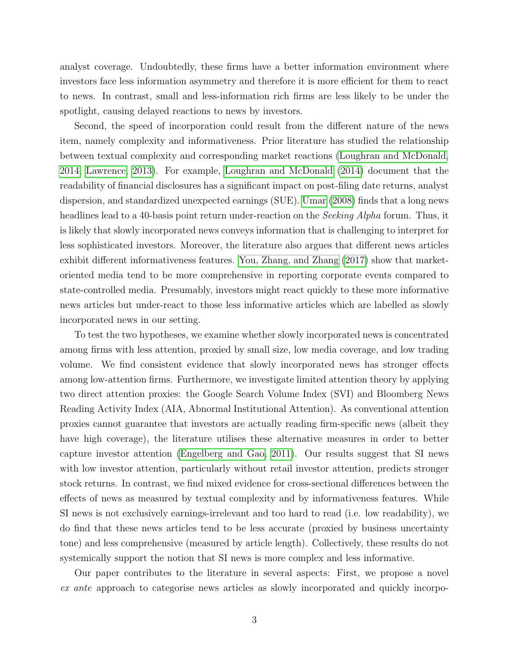analyst coverage. Undoubtedly, these firms have a better information environment where investors face less information asymmetry and therefore it is more efficient for them to react to news. In contrast, small and less-information rich firms are less likely to be under the spotlight, causing delayed reactions to news by investors.

Second, the speed of incorporation could result from the different nature of the news item, namely complexity and informativeness. Prior literature has studied the relationship between textual complexity and corresponding market reactions [\(Loughran and McDonald,](#page-31-4) [2014;](#page-31-4) [Lawrence, 2013\)](#page-30-4). For example, [Loughran and McDonald](#page-31-4) [\(2014\)](#page-31-4) document that the readability of financial disclosures has a significant impact on post-filing date returns, analyst dispersion, and standardized unexpected earnings (SUE). [Umar](#page-31-5) [\(2008\)](#page-31-5) finds that a long news headlines lead to a 40-basis point return under-reaction on the *Seeking Alpha* forum. Thus, it is likely that slowly incorporated news conveys information that is challenging to interpret for less sophisticated investors. Moreover, the literature also argues that different news articles exhibit different informativeness features. [You, Zhang, and Zhang](#page-31-6) [\(2017\)](#page-31-6) show that marketoriented media tend to be more comprehensive in reporting corporate events compared to state-controlled media. Presumably, investors might react quickly to these more informative news articles but under-react to those less informative articles which are labelled as slowly incorporated news in our setting.

To test the two hypotheses, we examine whether slowly incorporated news is concentrated among firms with less attention, proxied by small size, low media coverage, and low trading volume. We find consistent evidence that slowly incorporated news has stronger effects among low-attention firms. Furthermore, we investigate limited attention theory by applying two direct attention proxies: the Google Search Volume Index (SVI) and Bloomberg News Reading Activity Index (AIA, Abnormal Institutional Attention). As conventional attention proxies cannot guarantee that investors are actually reading firm-specific news (albeit they have high coverage), the literature utilises these alternative measures in order to better capture investor attention [\(Engelberg and Gao, 2011\)](#page-29-0). Our results suggest that SI news with low investor attention, particularly without retail investor attention, predicts stronger stock returns. In contrast, we find mixed evidence for cross-sectional differences between the effects of news as measured by textual complexity and by informativeness features. While SI news is not exclusively earnings-irrelevant and too hard to read (i.e. low readability), we do find that these news articles tend to be less accurate (proxied by business uncertainty tone) and less comprehensive (measured by article length). Collectively, these results do not systemically support the notion that SI news is more complex and less informative.

Our paper contributes to the literature in several aspects: First, we propose a novel ex ante approach to categorise news articles as slowly incorporated and quickly incorpo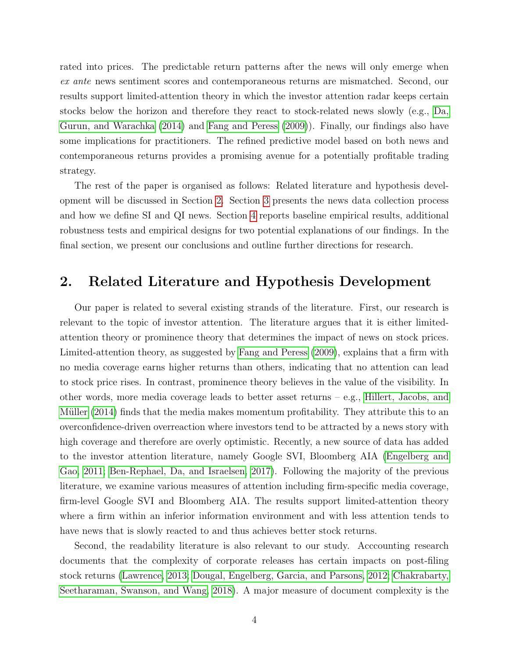rated into prices. The predictable return patterns after the news will only emerge when ex ante news sentiment scores and contemporaneous returns are mismatched. Second, our results support limited-attention theory in which the investor attention radar keeps certain stocks below the horizon and therefore they react to stock-related news slowly (e.g., [Da,](#page-28-2) [Gurun, and Warachka](#page-28-2) [\(2014\)](#page-28-2) and [Fang and Peress](#page-29-1) [\(2009\)](#page-29-1)). Finally, our findings also have some implications for practitioners. The refined predictive model based on both news and contemporaneous returns provides a promising avenue for a potentially profitable trading strategy.

The rest of the paper is organised as follows: Related literature and hypothesis development will be discussed in Section [2.](#page-5-0) Section [3](#page-8-0) presents the news data collection process and how we define SI and QI news. Section [4](#page-12-0) reports baseline empirical results, additional robustness tests and empirical designs for two potential explanations of our findings. In the final section, we present our conclusions and outline further directions for research.

# <span id="page-5-0"></span>2. Related Literature and Hypothesis Development

Our paper is related to several existing strands of the literature. First, our research is relevant to the topic of investor attention. The literature argues that it is either limitedattention theory or prominence theory that determines the impact of news on stock prices. Limited-attention theory, as suggested by [Fang and Peress](#page-29-1) [\(2009\)](#page-29-1), explains that a firm with no media coverage earns higher returns than others, indicating that no attention can lead to stock price rises. In contrast, prominence theory believes in the value of the visibility. In other words, more media coverage leads to better asset returns – e.g., [Hillert, Jacobs, and](#page-30-5) Müller [\(2014\)](#page-30-5) finds that the media makes momentum profitability. They attribute this to an overconfidence-driven overreaction where investors tend to be attracted by a news story with high coverage and therefore are overly optimistic. Recently, a new source of data has added to the investor attention literature, namely Google SVI, Bloomberg AIA [\(Engelberg and](#page-29-0) [Gao, 2011;](#page-29-0) [Ben-Rephael, Da, and Israelsen, 2017\)](#page-28-3). Following the majority of the previous literature, we examine various measures of attention including firm-specific media coverage, firm-level Google SVI and Bloomberg AIA. The results support limited-attention theory where a firm within an inferior information environment and with less attention tends to have news that is slowly reacted to and thus achieves better stock returns.

Second, the readability literature is also relevant to our study. Acccounting research documents that the complexity of corporate releases has certain impacts on post-filing stock returns [\(Lawrence, 2013;](#page-30-4) [Dougal, Engelberg, Garcia, and Parsons, 2012;](#page-29-2) [Chakrabarty,](#page-28-4) [Seetharaman, Swanson, and Wang, 2018\)](#page-28-4). A major measure of document complexity is the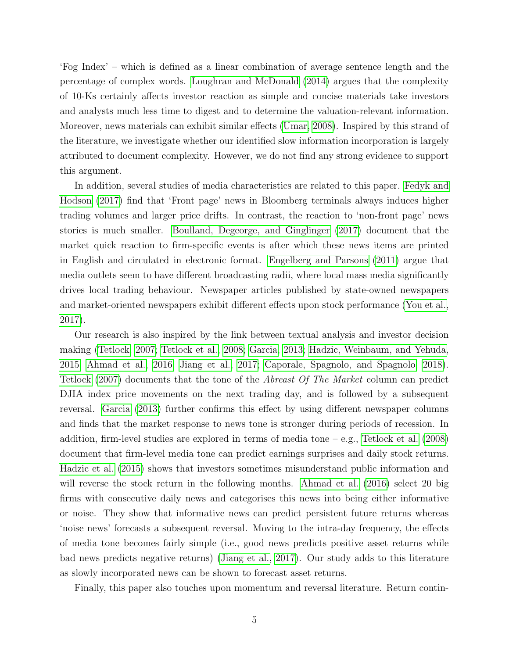'Fog Index' – which is defined as a linear combination of average sentence length and the percentage of complex words. [Loughran and McDonald](#page-31-4) [\(2014\)](#page-31-4) argues that the complexity of 10-Ks certainly affects investor reaction as simple and concise materials take investors and analysts much less time to digest and to determine the valuation-relevant information. Moreover, news materials can exhibit similar effects [\(Umar, 2008\)](#page-31-5). Inspired by this strand of the literature, we investigate whether our identified slow information incorporation is largely attributed to document complexity. However, we do not find any strong evidence to support this argument.

In addition, several studies of media characteristics are related to this paper. [Fedyk and](#page-29-3) [Hodson](#page-29-3) [\(2017\)](#page-29-3) find that 'Front page' news in Bloomberg terminals always induces higher trading volumes and larger price drifts. In contrast, the reaction to 'non-front page' news stories is much smaller. [Boulland, Degeorge, and Ginglinger](#page-28-5) [\(2017\)](#page-28-5) document that the market quick reaction to firm-specific events is after which these news items are printed in English and circulated in electronic format. [Engelberg and Parsons](#page-29-4) [\(2011\)](#page-29-4) argue that media outlets seem to have different broadcasting radii, where local mass media significantly drives local trading behaviour. Newspaper articles published by state-owned newspapers and market-oriented newspapers exhibit different effects upon stock performance [\(You et al.,](#page-31-6) [2017\)](#page-31-6).

Our research is also inspired by the link between textual analysis and investor decision making [\(Tetlock, 2007;](#page-31-1) [Tetlock et al., 2008;](#page-31-2) [Garcia, 2013;](#page-30-0) [Hadzic, Weinbaum, and Yehuda,](#page-30-6) [2015;](#page-30-6) [Ahmad et al., 2016;](#page-28-1) [Jiang et al., 2017;](#page-30-1) [Caporale, Spagnolo, and Spagnolo, 2018\)](#page-28-6). [Tetlock](#page-31-1) [\(2007\)](#page-31-1) documents that the tone of the Abreast Of The Market column can predict DJIA index price movements on the next trading day, and is followed by a subsequent reversal. [Garcia](#page-30-0) [\(2013\)](#page-30-0) further confirms this effect by using different newspaper columns and finds that the market response to news tone is stronger during periods of recession. In addition, firm-level studies are explored in terms of media tone – e.g., [Tetlock et al.](#page-31-2) [\(2008\)](#page-31-2) document that firm-level media tone can predict earnings surprises and daily stock returns. [Hadzic et al.](#page-30-6) [\(2015\)](#page-30-6) shows that investors sometimes misunderstand public information and will reverse the stock return in the following months. [Ahmad et al.](#page-28-1) [\(2016\)](#page-28-1) select 20 big firms with consecutive daily news and categorises this news into being either informative or noise. They show that informative news can predict persistent future returns whereas 'noise news' forecasts a subsequent reversal. Moving to the intra-day frequency, the effects of media tone becomes fairly simple (i.e., good news predicts positive asset returns while bad news predicts negative returns) [\(Jiang et al., 2017\)](#page-30-1). Our study adds to this literature as slowly incorporated news can be shown to forecast asset returns.

Finally, this paper also touches upon momentum and reversal literature. Return contin-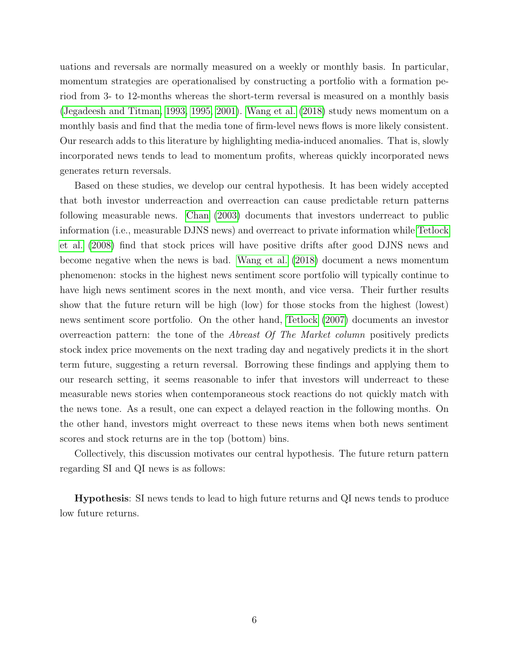uations and reversals are normally measured on a weekly or monthly basis. In particular, momentum strategies are operationalised by constructing a portfolio with a formation period from 3- to 12-months whereas the short-term reversal is measured on a monthly basis [\(Jegadeesh and Titman, 1993,](#page-30-7) [1995,](#page-30-8) [2001\)](#page-30-9). [Wang et al.](#page-31-0) [\(2018\)](#page-31-0) study news momentum on a monthly basis and find that the media tone of firm-level news flows is more likely consistent. Our research adds to this literature by highlighting media-induced anomalies. That is, slowly incorporated news tends to lead to momentum profits, whereas quickly incorporated news generates return reversals.

Based on these studies, we develop our central hypothesis. It has been widely accepted that both investor underreaction and overreaction can cause predictable return patterns following measurable news. [Chan](#page-28-0) [\(2003\)](#page-28-0) documents that investors underreact to public information (i.e., measurable DJNS news) and overreact to private information while [Tetlock](#page-31-2) [et al.](#page-31-2) [\(2008\)](#page-31-2) find that stock prices will have positive drifts after good DJNS news and become negative when the news is bad. [Wang et al.](#page-31-0) [\(2018\)](#page-31-0) document a news momentum phenomenon: stocks in the highest news sentiment score portfolio will typically continue to have high news sentiment scores in the next month, and vice versa. Their further results show that the future return will be high (low) for those stocks from the highest (lowest) news sentiment score portfolio. On the other hand, [Tetlock](#page-31-1) [\(2007\)](#page-31-1) documents an investor overreaction pattern: the tone of the Abreast Of The Market column positively predicts stock index price movements on the next trading day and negatively predicts it in the short term future, suggesting a return reversal. Borrowing these findings and applying them to our research setting, it seems reasonable to infer that investors will underreact to these measurable news stories when contemporaneous stock reactions do not quickly match with the news tone. As a result, one can expect a delayed reaction in the following months. On the other hand, investors might overreact to these news items when both news sentiment scores and stock returns are in the top (bottom) bins.

Collectively, this discussion motivates our central hypothesis. The future return pattern regarding SI and QI news is as follows:

Hypothesis: SI news tends to lead to high future returns and QI news tends to produce low future returns.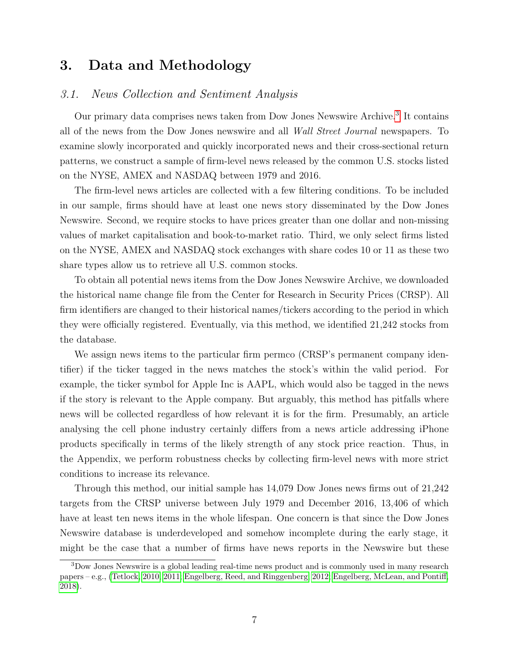# <span id="page-8-0"></span>3. Data and Methodology

# 3.1. News Collection and Sentiment Analysis

Our primary data comprises news taken from Dow Jones Newswire Archive.[3](#page-8-1) It contains all of the news from the Dow Jones newswire and all Wall Street Journal newspapers. To examine slowly incorporated and quickly incorporated news and their cross-sectional return patterns, we construct a sample of firm-level news released by the common U.S. stocks listed on the NYSE, AMEX and NASDAQ between 1979 and 2016.

The firm-level news articles are collected with a few filtering conditions. To be included in our sample, firms should have at least one news story disseminated by the Dow Jones Newswire. Second, we require stocks to have prices greater than one dollar and non-missing values of market capitalisation and book-to-market ratio. Third, we only select firms listed on the NYSE, AMEX and NASDAQ stock exchanges with share codes 10 or 11 as these two share types allow us to retrieve all U.S. common stocks.

To obtain all potential news items from the Dow Jones Newswire Archive, we downloaded the historical name change file from the Center for Research in Security Prices (CRSP). All firm identifiers are changed to their historical names/tickers according to the period in which they were officially registered. Eventually, via this method, we identified 21,242 stocks from the database.

We assign news items to the particular firm permco (CRSP's permanent company identifier) if the ticker tagged in the news matches the stock's within the valid period. For example, the ticker symbol for Apple Inc is AAPL, which would also be tagged in the news if the story is relevant to the Apple company. But arguably, this method has pitfalls where news will be collected regardless of how relevant it is for the firm. Presumably, an article analysing the cell phone industry certainly differs from a news article addressing iPhone products specifically in terms of the likely strength of any stock price reaction. Thus, in the Appendix, we perform robustness checks by collecting firm-level news with more strict conditions to increase its relevance.

Through this method, our initial sample has 14,079 Dow Jones news firms out of 21,242 targets from the CRSP universe between July 1979 and December 2016, 13,406 of which have at least ten news items in the whole lifespan. One concern is that since the Dow Jones Newswire database is underdeveloped and somehow incomplete during the early stage, it might be the case that a number of firms have news reports in the Newswire but these

<span id="page-8-1"></span><sup>3</sup>Dow Jones Newswire is a global leading real-time news product and is commonly used in many research papers – e.g., [\(Tetlock, 2010,](#page-31-7) [2011;](#page-31-8) [Engelberg, Reed, and Ringgenberg, 2012;](#page-29-5) [Engelberg, McLean, and Pontiff,](#page-29-6) [2018\)](#page-29-6).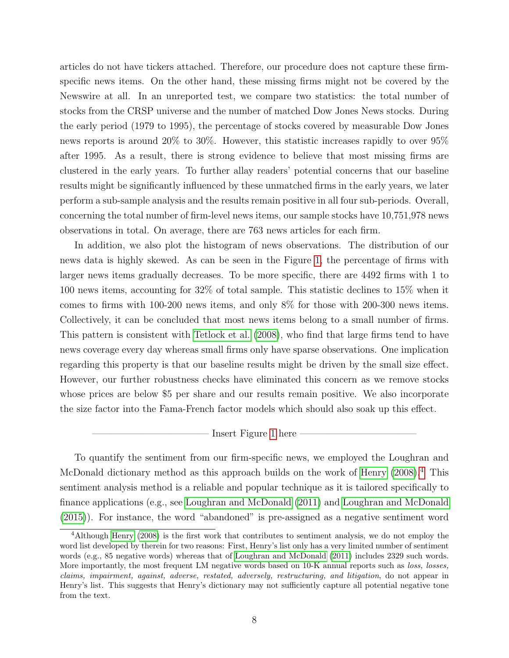articles do not have tickers attached. Therefore, our procedure does not capture these firmspecific news items. On the other hand, these missing firms might not be covered by the Newswire at all. In an unreported test, we compare two statistics: the total number of stocks from the CRSP universe and the number of matched Dow Jones News stocks. During the early period (1979 to 1995), the percentage of stocks covered by measurable Dow Jones news reports is around 20% to 30%. However, this statistic increases rapidly to over 95% after 1995. As a result, there is strong evidence to believe that most missing firms are clustered in the early years. To further allay readers' potential concerns that our baseline results might be significantly influenced by these unmatched firms in the early years, we later perform a sub-sample analysis and the results remain positive in all four sub-periods. Overall, concerning the total number of firm-level news items, our sample stocks have 10,751,978 news observations in total. On average, there are 763 news articles for each firm.

In addition, we also plot the histogram of news observations. The distribution of our news data is highly skewed. As can be seen in the Figure [1,](#page-34-0) the percentage of firms with larger news items gradually decreases. To be more specific, there are 4492 firms with 1 to 100 news items, accounting for 32% of total sample. This statistic declines to 15% when it comes to firms with 100-200 news items, and only 8% for those with 200-300 news items. Collectively, it can be concluded that most news items belong to a small number of firms. This pattern is consistent with [Tetlock et al.](#page-31-2) [\(2008\)](#page-31-2), who find that large firms tend to have news coverage every day whereas small firms only have sparse observations. One implication regarding this property is that our baseline results might be driven by the small size effect. However, our further robustness checks have eliminated this concern as we remove stocks whose prices are below \$5 per share and our results remain positive. We also incorporate the size factor into the Fama-French factor models which should also soak up this effect.

## - Insert Figure [1](#page-34-0) here -

To quantify the sentiment from our firm-specific news, we employed the Loughran and McDonald dictionary method as this approach builds on the work of [Henry](#page-30-10) [\(2008\)](#page-30-10).<sup>[4](#page-9-0)</sup> This sentiment analysis method is a reliable and popular technique as it is tailored specifically to finance applications (e.g., see [Loughran and McDonald](#page-31-3) [\(2011\)](#page-31-3) and [Loughran and McDonald](#page-31-9) [\(2015\)](#page-31-9)). For instance, the word "abandoned" is pre-assigned as a negative sentiment word

<span id="page-9-0"></span><sup>4</sup>Although [Henry](#page-30-10) [\(2008\)](#page-30-10) is the first work that contributes to sentiment analysis, we do not employ the word list developed by therein for two reasons: First, Henry's list only has a very limited number of sentiment words (e.g., 85 negative words) whereas that of [Loughran and McDonald](#page-31-3) [\(2011\)](#page-31-3) includes 2329 such words. More importantly, the most frequent LM negative words based on 10-K annual reports such as *loss*, *losses*, claims, impairment, against, adverse, restated, adversely, restructuring, and litigation, do not appear in Henry's list. This suggests that Henry's dictionary may not sufficiently capture all potential negative tone from the text.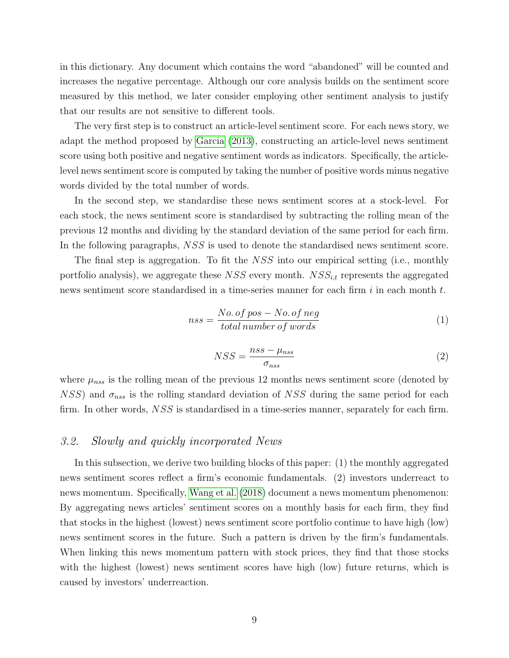in this dictionary. Any document which contains the word "abandoned" will be counted and increases the negative percentage. Although our core analysis builds on the sentiment score measured by this method, we later consider employing other sentiment analysis to justify that our results are not sensitive to different tools.

The very first step is to construct an article-level sentiment score. For each news story, we adapt the method proposed by [Garcia](#page-30-0) [\(2013\)](#page-30-0), constructing an article-level news sentiment score using both positive and negative sentiment words as indicators. Specifically, the articlelevel news sentiment score is computed by taking the number of positive words minus negative words divided by the total number of words.

In the second step, we standardise these news sentiment scores at a stock-level. For each stock, the news sentiment score is standardised by subtracting the rolling mean of the previous 12 months and dividing by the standard deviation of the same period for each firm. In the following paragraphs,  $NSS$  is used to denote the standardised news sentiment score.

The final step is aggregation. To fit the NSS into our empirical setting (i.e., monthly portfolio analysis), we aggregate these NSS every month.  $NSS_{i,t}$  represents the aggregated news sentiment score standardised in a time-series manner for each firm  $i$  in each month  $t$ .

$$
nss = \frac{No. \ of \ pos - No. \ of \ neg}{total \ number \ of \ words} \tag{1}
$$

$$
NSS = \frac{nss - \mu_{nss}}{\sigma_{nss}}\tag{2}
$$

where  $\mu_{nss}$  is the rolling mean of the previous 12 months news sentiment score (denoted by  $NSS$ ) and  $\sigma_{nss}$  is the rolling standard deviation of NSS during the same period for each firm. In other words, NSS is standardised in a time-series manner, separately for each firm.

### 3.2. Slowly and quickly incorporated News

In this subsection, we derive two building blocks of this paper: (1) the monthly aggregated news sentiment scores reflect a firm's economic fundamentals. (2) investors underreact to news momentum. Specifically, [Wang et al.](#page-31-0) [\(2018\)](#page-31-0) document a news momentum phenomenon: By aggregating news articles' sentiment scores on a monthly basis for each firm, they find that stocks in the highest (lowest) news sentiment score portfolio continue to have high (low) news sentiment scores in the future. Such a pattern is driven by the firm's fundamentals. When linking this news momentum pattern with stock prices, they find that those stocks with the highest (lowest) news sentiment scores have high (low) future returns, which is caused by investors' underreaction.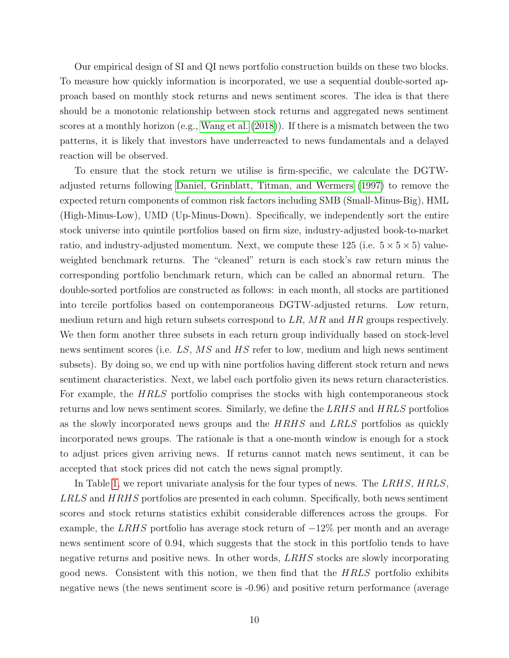Our empirical design of SI and QI news portfolio construction builds on these two blocks. To measure how quickly information is incorporated, we use a sequential double-sorted approach based on monthly stock returns and news sentiment scores. The idea is that there should be a monotonic relationship between stock returns and aggregated news sentiment scores at a monthly horizon (e.g., [Wang et al.](#page-31-0) [\(2018\)](#page-31-0)). If there is a mismatch between the two patterns, it is likely that investors have underreacted to news fundamentals and a delayed reaction will be observed.

To ensure that the stock return we utilise is firm-specific, we calculate the DGTWadjusted returns following [Daniel, Grinblatt, Titman, and Wermers](#page-29-7) [\(1997\)](#page-29-7) to remove the expected return components of common risk factors including SMB (Small-Minus-Big), HML (High-Minus-Low), UMD (Up-Minus-Down). Specifically, we independently sort the entire stock universe into quintile portfolios based on firm size, industry-adjusted book-to-market ratio, and industry-adjusted momentum. Next, we compute these 125 (i.e.  $5 \times 5 \times 5$ ) valueweighted benchmark returns. The "cleaned" return is each stock's raw return minus the corresponding portfolio benchmark return, which can be called an abnormal return. The double-sorted portfolios are constructed as follows: in each month, all stocks are partitioned into tercile portfolios based on contemporaneous DGTW-adjusted returns. Low return, medium return and high return subsets correspond to  $LR$ ,  $MR$  and  $HR$  groups respectively. We then form another three subsets in each return group individually based on stock-level news sentiment scores (i.e. LS, MS and HS refer to low, medium and high news sentiment subsets). By doing so, we end up with nine portfolios having different stock return and news sentiment characteristics. Next, we label each portfolio given its news return characteristics. For example, the HRLS portfolio comprises the stocks with high contemporaneous stock returns and low news sentiment scores. Similarly, we define the LRHS and HRLS portfolios as the slowly incorporated news groups and the HRHS and LRLS portfolios as quickly incorporated news groups. The rationale is that a one-month window is enough for a stock to adjust prices given arriving news. If returns cannot match news sentiment, it can be accepted that stock prices did not catch the news signal promptly.

In Table [1,](#page-37-0) we report univariate analysis for the four types of news. The LRHS, HRLS, LRLS and HRHS portfolios are presented in each column. Specifically, both news sentiment scores and stock returns statistics exhibit considerable differences across the groups. For example, the LRHS portfolio has average stock return of  $-12\%$  per month and an average news sentiment score of 0.94, which suggests that the stock in this portfolio tends to have negative returns and positive news. In other words, LRHS stocks are slowly incorporating good news. Consistent with this notion, we then find that the HRLS portfolio exhibits negative news (the news sentiment score is -0.96) and positive return performance (average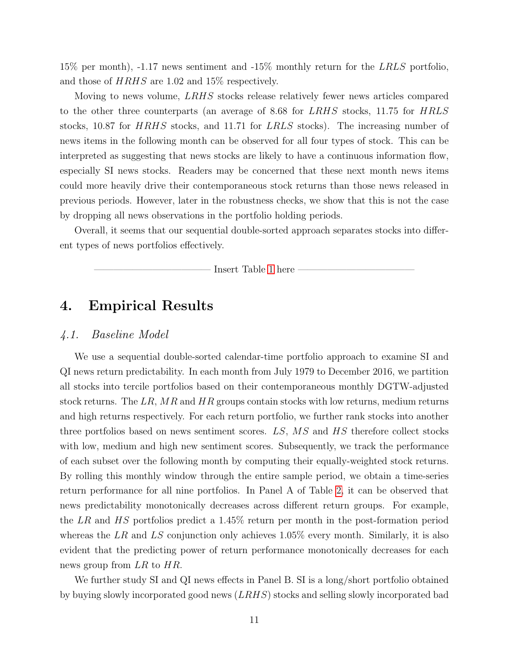15% per month), -1.17 news sentiment and -15% monthly return for the LRLS portfolio, and those of HRHS are 1.02 and 15% respectively.

Moving to news volume, LRHS stocks release relatively fewer news articles compared to the other three counterparts (an average of 8.68 for LRHS stocks, 11.75 for HRLS stocks, 10.87 for HRHS stocks, and 11.71 for LRLS stocks). The increasing number of news items in the following month can be observed for all four types of stock. This can be interpreted as suggesting that news stocks are likely to have a continuous information flow, especially SI news stocks. Readers may be concerned that these next month news items could more heavily drive their contemporaneous stock returns than those news released in previous periods. However, later in the robustness checks, we show that this is not the case by dropping all news observations in the portfolio holding periods.

Overall, it seems that our sequential double-sorted approach separates stocks into different types of news portfolios effectively.

Insert Table [1](#page-37-0) here

# <span id="page-12-0"></span>4. Empirical Results

## 4.1. Baseline Model

We use a sequential double-sorted calendar-time portfolio approach to examine SI and QI news return predictability. In each month from July 1979 to December 2016, we partition all stocks into tercile portfolios based on their contemporaneous monthly DGTW-adjusted stock returns. The LR,  $MR$  and  $HR$  groups contain stocks with low returns, medium returns and high returns respectively. For each return portfolio, we further rank stocks into another three portfolios based on news sentiment scores. LS, MS and HS therefore collect stocks with low, medium and high new sentiment scores. Subsequently, we track the performance of each subset over the following month by computing their equally-weighted stock returns. By rolling this monthly window through the entire sample period, we obtain a time-series return performance for all nine portfolios. In Panel A of Table [2,](#page-38-0) it can be observed that news predictability monotonically decreases across different return groups. For example, the LR and HS portfolios predict a 1.45% return per month in the post-formation period whereas the LR and LS conjunction only achieves  $1.05\%$  every month. Similarly, it is also evident that the predicting power of return performance monotonically decreases for each news group from LR to HR.

We further study SI and QI news effects in Panel B. SI is a long/short portfolio obtained by buying slowly incorporated good news (LRHS) stocks and selling slowly incorporated bad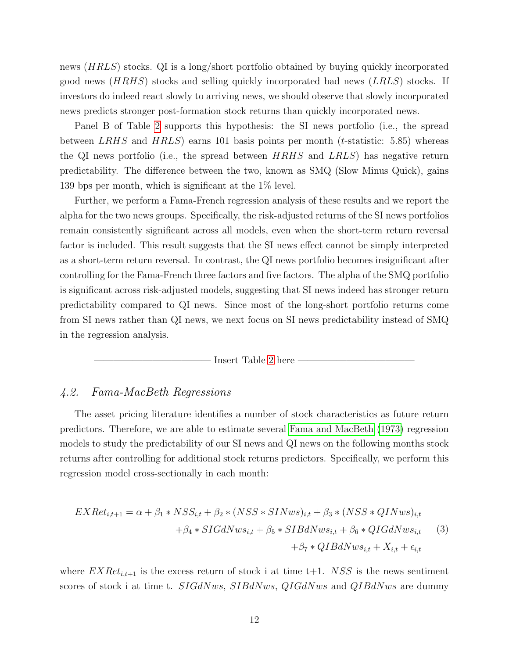news (HRLS) stocks. QI is a long/short portfolio obtained by buying quickly incorporated good news (HRHS) stocks and selling quickly incorporated bad news (LRLS) stocks. If investors do indeed react slowly to arriving news, we should observe that slowly incorporated news predicts stronger post-formation stock returns than quickly incorporated news.

Panel B of Table [2](#page-38-0) supports this hypothesis: the SI news portfolio (i.e., the spread between LRHS and  $HRLS$ ) earns 101 basis points per month (*t*-statistic: 5.85) whereas the QI news portfolio (i.e., the spread between  $HRHS$  and  $LRLS$ ) has negative return predictability. The difference between the two, known as SMQ (Slow Minus Quick), gains 139 bps per month, which is significant at the 1% level.

Further, we perform a Fama-French regression analysis of these results and we report the alpha for the two news groups. Specifically, the risk-adjusted returns of the SI news portfolios remain consistently significant across all models, even when the short-term return reversal factor is included. This result suggests that the SI news effect cannot be simply interpreted as a short-term return reversal. In contrast, the QI news portfolio becomes insignificant after controlling for the Fama-French three factors and five factors. The alpha of the SMQ portfolio is significant across risk-adjusted models, suggesting that SI news indeed has stronger return predictability compared to QI news. Since most of the long-short portfolio returns come from SI news rather than QI news, we next focus on SI news predictability instead of SMQ in the regression analysis.



## 4.2. Fama-MacBeth Regressions

The asset pricing literature identifies a number of stock characteristics as future return predictors. Therefore, we are able to estimate several [Fama and MacBeth](#page-29-8) [\(1973\)](#page-29-8) regression models to study the predictability of our SI news and QI news on the following months stock returns after controlling for additional stock returns predictors. Specifically, we perform this regression model cross-sectionally in each month:

$$
EXRet_{i,t+1} = \alpha + \beta_1 * NSS_{i,t} + \beta_2 * (NSS * SINws)_{i,t} + \beta_3 * (NSS * QINws)_{i,t} + \beta_4 * SIGdNws_{i,t} + \beta_5 * SIBdNws_{i,t} + \beta_6 * QIGdNws_{i,t}
$$
 (3)  
+  $\beta_7 * QIBdNws_{i,t} + X_{i,t} + \epsilon_{i,t}$ 

where  $EXRet_{i,t+1}$  is the excess return of stock i at time t+1. NSS is the news sentiment scores of stock i at time t. SIGdNws, SIBdNws, QIGdNws and QIBdNws are dummy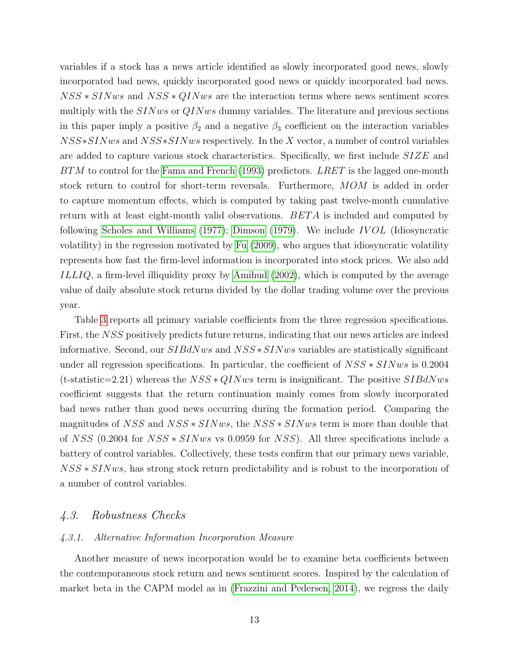variables if a stock has a news article identified as slowly incorporated good news, slowly incorporated bad news, quickly incorporated good news or quickly incorporated bad news.  $NSS * SINws$  and  $NSS * QINws$  are the interaction terms where news sentiment scores multiply with the  $SINws$  or  $QINws$  dummy variables. The literature and previous sections in this paper imply a positive  $\beta_2$  and a negative  $\beta_3$  coefficient on the interaction variables NSS∗SINws and NSS∗SINws respectively. In the X vector, a number of control variables are added to capture various stock characteristics. Specifically, we first include SIZE and  $BTM$  to control for the [Fama and French](#page-29-9) [\(1993\)](#page-29-9) predictors. LRET is the lagged one-month stock return to control for short-term reversals. Furthermore, MOM is added in order to capture momentum effects, which is computed by taking past twelve-month cumulative return with at least eight-month valid observations.  $BETA$  is included and computed by following [Scholes and Williams](#page-31-10)  $(1977)$ ; [Dimson](#page-29-10)  $(1979)$ . We include IVOL (Idiosyncratic volatility) in the regression motivated by [Fu](#page-29-11) [\(2009\)](#page-29-11), who argues that idiosyncratic volatility represents how fast the firm-level information is incorporated into stock prices. We also add ILLIQ, a firm-level illiquidity proxy by [Amihud](#page-28-7) [\(2002\)](#page-28-7), which is computed by the average value of daily absolute stock returns divided by the dollar trading volume over the previous year.

Table [3](#page-39-0) reports all primary variable coefficients from the three regression specifications. First, the NSS positively predicts future returns, indicating that our news articles are indeed informative. Second, our SIBdNws and NSS ∗SINws variables are statistically significant under all regression specifications. In particular, the coefficient of  $NSS * SINws$  is 0.2004 (t-statistic=2.21) whereas the  $NSS * QINws$  term is insignificant. The positive  $SIBdNws$ coefficient suggests that the return continuation mainly comes from slowly incorporated bad news rather than good news occurring during the formation period. Comparing the magnitudes of NSS and NSS ∗ SINws, the NSS ∗ SINws term is more than double that of NSS (0.2004 for NSS ∗ SINws vs 0.0959 for NSS). All three specifications include a battery of control variables. Collectively, these tests confirm that our primary news variable, NSS  $*$  SINws, has strong stock return predictability and is robust to the incorporation of a number of control variables.

# 4.3. Robustness Checks

### 4.3.1. Alternative Information Incorporation Measure

Another measure of news incorporation would be to examine beta coefficients between the contemporaneous stock return and news sentiment scores. Inspired by the calculation of market beta in the CAPM model as in [\(Frazzini and Pedersen, 2014\)](#page-29-12), we regress the daily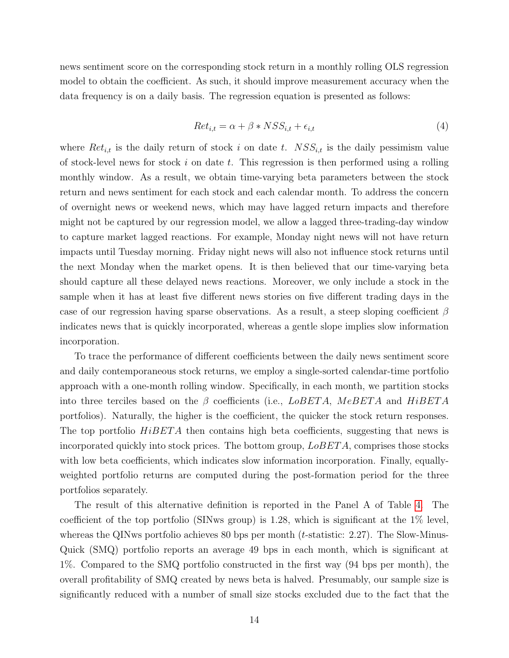news sentiment score on the corresponding stock return in a monthly rolling OLS regression model to obtain the coefficient. As such, it should improve measurement accuracy when the data frequency is on a daily basis. The regression equation is presented as follows:

$$
Ret_{i,t} = \alpha + \beta * NSS_{i,t} + \epsilon_{i,t}
$$
\n<sup>(4)</sup>

where  $Ret_{i,t}$  is the daily return of stock i on date t.  $NSS_{i,t}$  is the daily pessimism value of stock-level news for stock i on date t. This regression is then performed using a rolling monthly window. As a result, we obtain time-varying beta parameters between the stock return and news sentiment for each stock and each calendar month. To address the concern of overnight news or weekend news, which may have lagged return impacts and therefore might not be captured by our regression model, we allow a lagged three-trading-day window to capture market lagged reactions. For example, Monday night news will not have return impacts until Tuesday morning. Friday night news will also not influence stock returns until the next Monday when the market opens. It is then believed that our time-varying beta should capture all these delayed news reactions. Moreover, we only include a stock in the sample when it has at least five different news stories on five different trading days in the case of our regression having sparse observations. As a result, a steep sloping coefficient  $\beta$ indicates news that is quickly incorporated, whereas a gentle slope implies slow information incorporation.

To trace the performance of different coefficients between the daily news sentiment score and daily contemporaneous stock returns, we employ a single-sorted calendar-time portfolio approach with a one-month rolling window. Specifically, in each month, we partition stocks into three terciles based on the  $\beta$  coefficients (i.e.,  $LoBETA$ ,  $MeBETA$  and  $HiBETA$ portfolios). Naturally, the higher is the coefficient, the quicker the stock return responses. The top portfolio  $HiBETA$  then contains high beta coefficients, suggesting that news is incorporated quickly into stock prices. The bottom group,  $LoBETA$ , comprises those stocks with low beta coefficients, which indicates slow information incorporation. Finally, equallyweighted portfolio returns are computed during the post-formation period for the three portfolios separately.

The result of this alternative definition is reported in the Panel A of Table [4.](#page-40-0) The coefficient of the top portfolio (SINws group) is 1.28, which is significant at the 1% level, whereas the QINws portfolio achieves 80 bps per month  $(t\text{-statistic}: 2.27)$ . The Slow-Minus-Quick (SMQ) portfolio reports an average 49 bps in each month, which is significant at 1%. Compared to the SMQ portfolio constructed in the first way (94 bps per month), the overall profitability of SMQ created by news beta is halved. Presumably, our sample size is significantly reduced with a number of small size stocks excluded due to the fact that the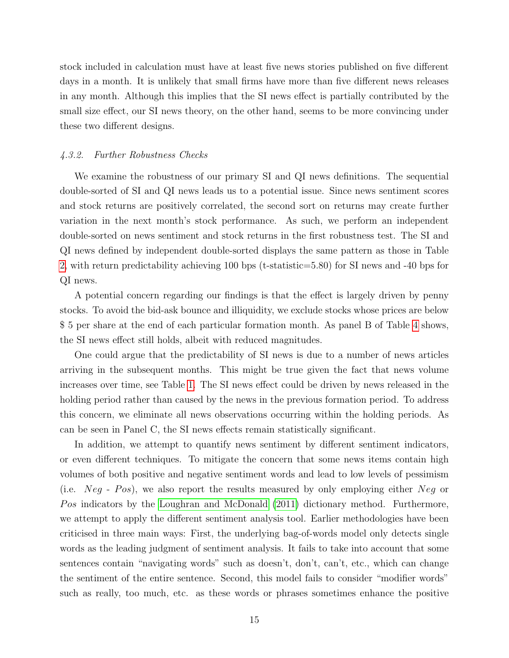stock included in calculation must have at least five news stories published on five different days in a month. It is unlikely that small firms have more than five different news releases in any month. Although this implies that the SI news effect is partially contributed by the small size effect, our SI news theory, on the other hand, seems to be more convincing under these two different designs.

#### 4.3.2. Further Robustness Checks

We examine the robustness of our primary SI and QI news definitions. The sequential double-sorted of SI and QI news leads us to a potential issue. Since news sentiment scores and stock returns are positively correlated, the second sort on returns may create further variation in the next month's stock performance. As such, we perform an independent double-sorted on news sentiment and stock returns in the first robustness test. The SI and QI news defined by independent double-sorted displays the same pattern as those in Table [2,](#page-38-0) with return predictability achieving 100 bps (t-statistic=5.80) for SI news and -40 bps for QI news.

A potential concern regarding our findings is that the effect is largely driven by penny stocks. To avoid the bid-ask bounce and illiquidity, we exclude stocks whose prices are below \$ 5 per share at the end of each particular formation month. As panel B of Table [4](#page-40-0) shows, the SI news effect still holds, albeit with reduced magnitudes.

One could argue that the predictability of SI news is due to a number of news articles arriving in the subsequent months. This might be true given the fact that news volume increases over time, see Table [1.](#page-37-0) The SI news effect could be driven by news released in the holding period rather than caused by the news in the previous formation period. To address this concern, we eliminate all news observations occurring within the holding periods. As can be seen in Panel C, the SI news effects remain statistically significant.

In addition, we attempt to quantify news sentiment by different sentiment indicators, or even different techniques. To mitigate the concern that some news items contain high volumes of both positive and negative sentiment words and lead to low levels of pessimism (i.e.  $Neg - Pos$ ), we also report the results measured by only employing either  $Neg$  or Pos indicators by the [Loughran and McDonald](#page-31-3) [\(2011\)](#page-31-3) dictionary method. Furthermore, we attempt to apply the different sentiment analysis tool. Earlier methodologies have been criticised in three main ways: First, the underlying bag-of-words model only detects single words as the leading judgment of sentiment analysis. It fails to take into account that some sentences contain "navigating words" such as doesn't, don't, can't, etc., which can change the sentiment of the entire sentence. Second, this model fails to consider "modifier words" such as really, too much, etc. as these words or phrases sometimes enhance the positive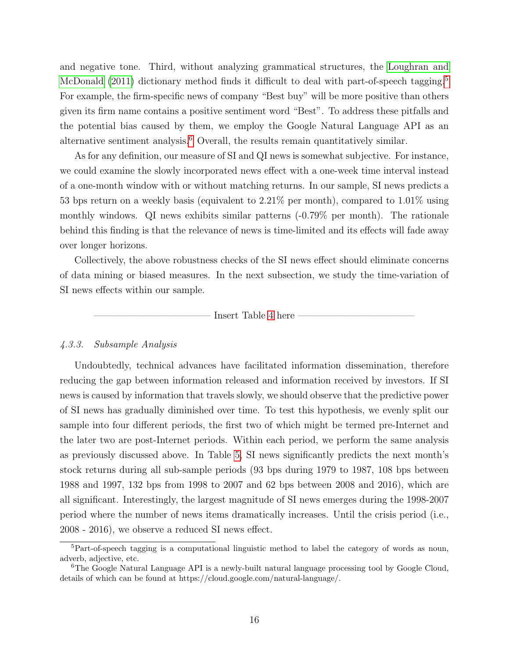and negative tone. Third, without analyzing grammatical structures, the [Loughran and](#page-31-3) [McDonald](#page-31-3) [\(2011\)](#page-31-3) dictionary method finds it difficult to deal with part-of-speech tagging.<sup>[5](#page-17-0)</sup> For example, the firm-specific news of company "Best buy" will be more positive than others given its firm name contains a positive sentiment word "Best". To address these pitfalls and the potential bias caused by them, we employ the Google Natural Language API as an alternative sentiment analysis.<sup>[6](#page-17-1)</sup> Overall, the results remain quantitatively similar.

As for any definition, our measure of SI and QI news is somewhat subjective. For instance, we could examine the slowly incorporated news effect with a one-week time interval instead of a one-month window with or without matching returns. In our sample, SI news predicts a 53 bps return on a weekly basis (equivalent to 2.21% per month), compared to 1.01% using monthly windows. QI news exhibits similar patterns (-0.79% per month). The rationale behind this finding is that the relevance of news is time-limited and its effects will fade away over longer horizons.

Collectively, the above robustness checks of the SI news effect should eliminate concerns of data mining or biased measures. In the next subsection, we study the time-variation of SI news effects within our sample.

Insert Table [4](#page-40-0) here

### <span id="page-17-2"></span>4.3.3. Subsample Analysis

Undoubtedly, technical advances have facilitated information dissemination, therefore reducing the gap between information released and information received by investors. If SI news is caused by information that travels slowly, we should observe that the predictive power of SI news has gradually diminished over time. To test this hypothesis, we evenly split our sample into four different periods, the first two of which might be termed pre-Internet and the later two are post-Internet periods. Within each period, we perform the same analysis as previously discussed above. In Table [5,](#page-41-0) SI news significantly predicts the next month's stock returns during all sub-sample periods (93 bps during 1979 to 1987, 108 bps between 1988 and 1997, 132 bps from 1998 to 2007 and 62 bps between 2008 and 2016), which are all significant. Interestingly, the largest magnitude of SI news emerges during the 1998-2007 period where the number of news items dramatically increases. Until the crisis period (i.e., 2008 - 2016), we observe a reduced SI news effect.

<span id="page-17-0"></span><sup>&</sup>lt;sup>5</sup>Part-of-speech tagging is a computational linguistic method to label the category of words as noun, adverb, adjective, etc.

<span id="page-17-1"></span><sup>&</sup>lt;sup>6</sup>The Google Natural Language API is a newly-built natural language processing tool by Google Cloud, details of which can be found at https://cloud.google.com/natural-language/.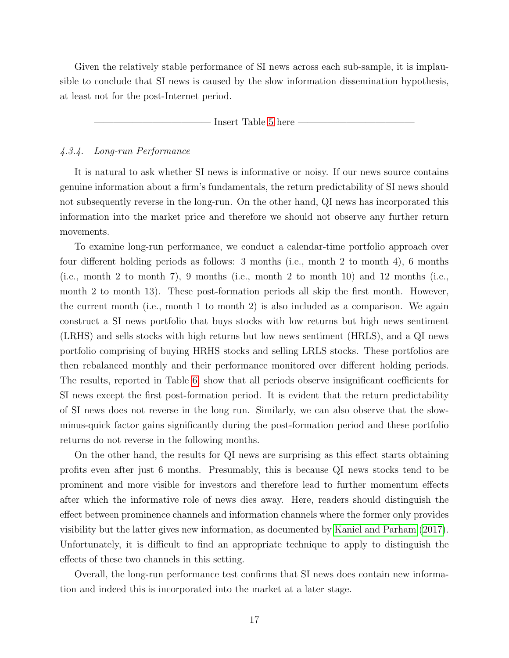Given the relatively stable performance of SI news across each sub-sample, it is implausible to conclude that SI news is caused by the slow information dissemination hypothesis, at least not for the post-Internet period.

Insert Table [5](#page-41-0) here

## 4.3.4. Long-run Performance

It is natural to ask whether SI news is informative or noisy. If our news source contains genuine information about a firm's fundamentals, the return predictability of SI news should not subsequently reverse in the long-run. On the other hand, QI news has incorporated this information into the market price and therefore we should not observe any further return movements.

To examine long-run performance, we conduct a calendar-time portfolio approach over four different holding periods as follows: 3 months (i.e., month 2 to month 4), 6 months (i.e., month 2 to month 7), 9 months (i.e., month 2 to month 10) and 12 months (i.e., month 2 to month 13). These post-formation periods all skip the first month. However, the current month (i.e., month 1 to month 2) is also included as a comparison. We again construct a SI news portfolio that buys stocks with low returns but high news sentiment (LRHS) and sells stocks with high returns but low news sentiment (HRLS), and a QI news portfolio comprising of buying HRHS stocks and selling LRLS stocks. These portfolios are then rebalanced monthly and their performance monitored over different holding periods. The results, reported in Table [6,](#page-42-0) show that all periods observe insignificant coefficients for SI news except the first post-formation period. It is evident that the return predictability of SI news does not reverse in the long run. Similarly, we can also observe that the slowminus-quick factor gains significantly during the post-formation period and these portfolio returns do not reverse in the following months.

On the other hand, the results for QI news are surprising as this effect starts obtaining profits even after just 6 months. Presumably, this is because QI news stocks tend to be prominent and more visible for investors and therefore lead to further momentum effects after which the informative role of news dies away. Here, readers should distinguish the effect between prominence channels and information channels where the former only provides visibility but the latter gives new information, as documented by [Kaniel and Parham](#page-30-11) [\(2017\)](#page-30-11). Unfortunately, it is difficult to find an appropriate technique to apply to distinguish the effects of these two channels in this setting.

Overall, the long-run performance test confirms that SI news does contain new information and indeed this is incorporated into the market at a later stage.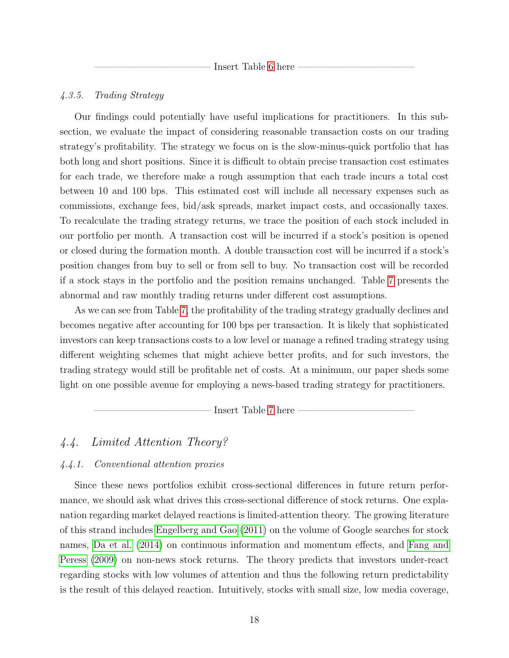Insert Table [6](#page-42-0) here

### 4.3.5. Trading Strategy

Our findings could potentially have useful implications for practitioners. In this subsection, we evaluate the impact of considering reasonable transaction costs on our trading strategy's profitability. The strategy we focus on is the slow-minus-quick portfolio that has both long and short positions. Since it is difficult to obtain precise transaction cost estimates for each trade, we therefore make a rough assumption that each trade incurs a total cost between 10 and 100 bps. This estimated cost will include all necessary expenses such as commissions, exchange fees, bid/ask spreads, market impact costs, and occasionally taxes. To recalculate the trading strategy returns, we trace the position of each stock included in our portfolio per month. A transaction cost will be incurred if a stock's position is opened or closed during the formation month. A double transaction cost will be incurred if a stock's position changes from buy to sell or from sell to buy. No transaction cost will be recorded if a stock stays in the portfolio and the position remains unchanged. Table [7](#page-43-0) presents the abnormal and raw monthly trading returns under different cost assumptions.

As we can see from Table [7,](#page-43-0) the profitability of the trading strategy gradually declines and becomes negative after accounting for 100 bps per transaction. It is likely that sophisticated investors can keep transactions costs to a low level or manage a refined trading strategy using different weighting schemes that might achieve better profits, and for such investors, the trading strategy would still be profitable net of costs. At a minimum, our paper sheds some light on one possible avenue for employing a news-based trading strategy for practitioners.

- Insert Table [7](#page-43-0) here

# 4.4. Limited Attention Theory?

### 4.4.1. Conventional attention proxies

Since these news portfolios exhibit cross-sectional differences in future return performance, we should ask what drives this cross-sectional difference of stock returns. One explanation regarding market delayed reactions is limited-attention theory. The growing literature of this strand includes [Engelberg and Gao](#page-29-0) [\(2011\)](#page-29-0) on the volume of Google searches for stock names, [Da et al.](#page-28-2) [\(2014\)](#page-28-2) on continuous information and momentum effects, and [Fang and](#page-29-1) [Peress](#page-29-1) [\(2009\)](#page-29-1) on non-news stock returns. The theory predicts that investors under-react regarding stocks with low volumes of attention and thus the following return predictability is the result of this delayed reaction. Intuitively, stocks with small size, low media coverage,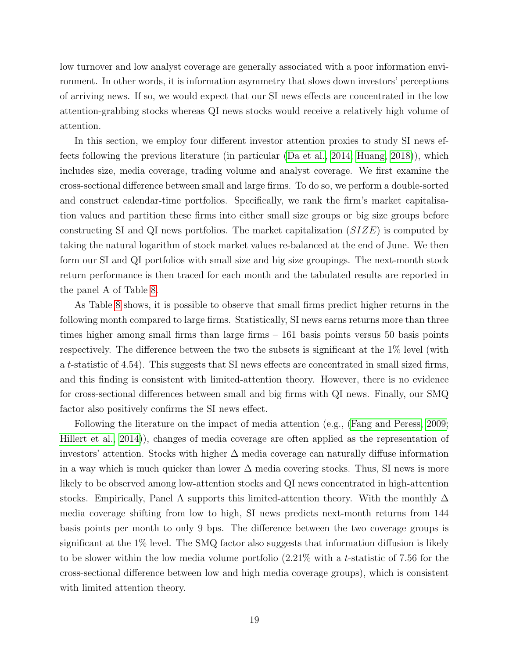low turnover and low analyst coverage are generally associated with a poor information environment. In other words, it is information asymmetry that slows down investors' perceptions of arriving news. If so, we would expect that our SI news effects are concentrated in the low attention-grabbing stocks whereas QI news stocks would receive a relatively high volume of attention.

In this section, we employ four different investor attention proxies to study SI news effects following the previous literature (in particular [\(Da et al., 2014;](#page-28-2) [Huang, 2018\)](#page-30-12)), which includes size, media coverage, trading volume and analyst coverage. We first examine the cross-sectional difference between small and large firms. To do so, we perform a double-sorted and construct calendar-time portfolios. Specifically, we rank the firm's market capitalisation values and partition these firms into either small size groups or big size groups before constructing SI and QI news portfolios. The market capitalization  $(SIZE)$  is computed by taking the natural logarithm of stock market values re-balanced at the end of June. We then form our SI and QI portfolios with small size and big size groupings. The next-month stock return performance is then traced for each month and the tabulated results are reported in the panel A of Table [8.](#page-44-0)

As Table [8](#page-44-0) shows, it is possible to observe that small firms predict higher returns in the following month compared to large firms. Statistically, SI news earns returns more than three times higher among small firms than large firms – 161 basis points versus 50 basis points respectively. The difference between the two the subsets is significant at the 1% level (with a t-statistic of 4.54). This suggests that SI news effects are concentrated in small sized firms, and this finding is consistent with limited-attention theory. However, there is no evidence for cross-sectional differences between small and big firms with QI news. Finally, our SMQ factor also positively confirms the SI news effect.

Following the literature on the impact of media attention (e.g., [\(Fang and Peress, 2009;](#page-29-1) [Hillert et al., 2014\)](#page-30-5)), changes of media coverage are often applied as the representation of investors' attention. Stocks with higher  $\Delta$  media coverage can naturally diffuse information in a way which is much quicker than lower  $\Delta$  media covering stocks. Thus, SI news is more likely to be observed among low-attention stocks and QI news concentrated in high-attention stocks. Empirically, Panel A supports this limited-attention theory. With the monthly  $\Delta$ media coverage shifting from low to high, SI news predicts next-month returns from 144 basis points per month to only 9 bps. The difference between the two coverage groups is significant at the 1% level. The SMQ factor also suggests that information diffusion is likely to be slower within the low media volume portfolio (2.21% with a t-statistic of 7.56 for the cross-sectional difference between low and high media coverage groups), which is consistent with limited attention theory.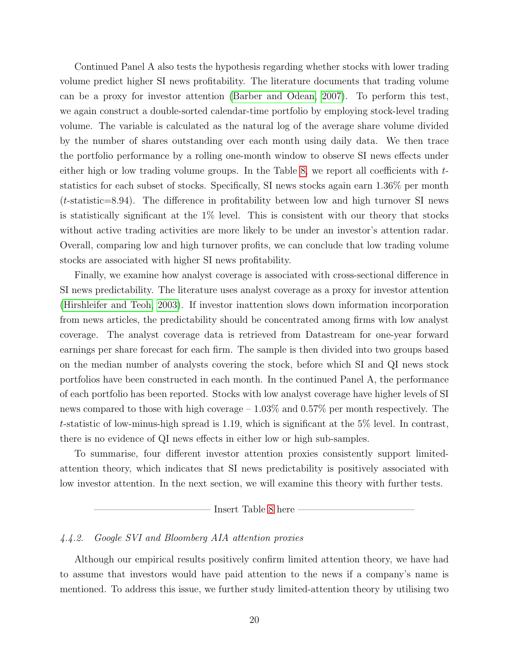Continued Panel A also tests the hypothesis regarding whether stocks with lower trading volume predict higher SI news profitability. The literature documents that trading volume can be a proxy for investor attention [\(Barber and Odean, 2007\)](#page-28-8). To perform this test, we again construct a double-sorted calendar-time portfolio by employing stock-level trading volume. The variable is calculated as the natural log of the average share volume divided by the number of shares outstanding over each month using daily data. We then trace the portfolio performance by a rolling one-month window to observe SI news effects under either high or low trading volume groups. In the Table [8,](#page-44-0) we report all coefficients with tstatistics for each subset of stocks. Specifically, SI news stocks again earn 1.36% per month  $(t\text{-statistic}=8.94)$ . The difference in profitability between low and high turnover SI news is statistically significant at the 1% level. This is consistent with our theory that stocks without active trading activities are more likely to be under an investor's attention radar. Overall, comparing low and high turnover profits, we can conclude that low trading volume stocks are associated with higher SI news profitability.

Finally, we examine how analyst coverage is associated with cross-sectional difference in SI news predictability. The literature uses analyst coverage as a proxy for investor attention [\(Hirshleifer and Teoh, 2003\)](#page-30-13). If investor inattention slows down information incorporation from news articles, the predictability should be concentrated among firms with low analyst coverage. The analyst coverage data is retrieved from Datastream for one-year forward earnings per share forecast for each firm. The sample is then divided into two groups based on the median number of analysts covering the stock, before which SI and QI news stock portfolios have been constructed in each month. In the continued Panel A, the performance of each portfolio has been reported. Stocks with low analyst coverage have higher levels of SI news compared to those with high coverage – 1.03% and 0.57% per month respectively. The t-statistic of low-minus-high spread is 1.19, which is significant at the 5% level. In contrast, there is no evidence of QI news effects in either low or high sub-samples.

To summarise, four different investor attention proxies consistently support limitedattention theory, which indicates that SI news predictability is positively associated with low investor attention. In the next section, we will examine this theory with further tests.

Insert Table [8](#page-44-0) here

## 4.4.2. Google SVI and Bloomberg AIA attention proxies

Although our empirical results positively confirm limited attention theory, we have had to assume that investors would have paid attention to the news if a company's name is mentioned. To address this issue, we further study limited-attention theory by utilising two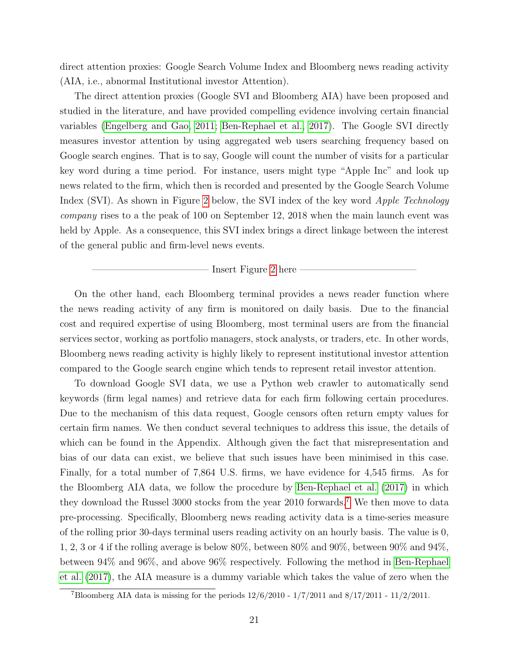direct attention proxies: Google Search Volume Index and Bloomberg news reading activity (AIA, i.e., abnormal Institutional investor Attention).

The direct attention proxies (Google SVI and Bloomberg AIA) have been proposed and studied in the literature, and have provided compelling evidence involving certain financial variables [\(Engelberg and Gao, 2011;](#page-29-0) [Ben-Rephael et al., 2017\)](#page-28-3). The Google SVI directly measures investor attention by using aggregated web users searching frequency based on Google search engines. That is to say, Google will count the number of visits for a particular key word during a time period. For instance, users might type "Apple Inc" and look up news related to the firm, which then is recorded and presented by the Google Search Volume Index (SVI). As shown in Figure [2](#page-35-0) below, the SVI index of the key word *Apple Technology* company rises to a the peak of 100 on September 12, 2018 when the main launch event was held by Apple. As a consequence, this SVI index brings a direct linkage between the interest of the general public and firm-level news events.

Insert Figure [2](#page-35-0) here

On the other hand, each Bloomberg terminal provides a news reader function where the news reading activity of any firm is monitored on daily basis. Due to the financial cost and required expertise of using Bloomberg, most terminal users are from the financial services sector, working as portfolio managers, stock analysts, or traders, etc. In other words, Bloomberg news reading activity is highly likely to represent institutional investor attention compared to the Google search engine which tends to represent retail investor attention.

To download Google SVI data, we use a Python web crawler to automatically send keywords (firm legal names) and retrieve data for each firm following certain procedures. Due to the mechanism of this data request, Google censors often return empty values for certain firm names. We then conduct several techniques to address this issue, the details of which can be found in the Appendix. Although given the fact that misrepresentation and bias of our data can exist, we believe that such issues have been minimised in this case. Finally, for a total number of 7,864 U.S. firms, we have evidence for 4,545 firms. As for the Bloomberg AIA data, we follow the procedure by [Ben-Rephael et al.](#page-28-3) [\(2017\)](#page-28-3) in which they download the Russel 3000 stocks from the year 2010 forwards.<sup>[7](#page-22-0)</sup> We then move to data pre-processing. Specifically, Bloomberg news reading activity data is a time-series measure of the rolling prior 30-days terminal users reading activity on an hourly basis. The value is 0, 1, 2, 3 or 4 if the rolling average is below 80%, between 80% and 90%, between 90% and 94%, between 94% and 96%, and above 96% respectively. Following the method in [Ben-Rephael](#page-28-3) [et al.](#page-28-3) [\(2017\)](#page-28-3), the AIA measure is a dummy variable which takes the value of zero when the

<span id="page-22-0"></span><sup>&</sup>lt;sup>7</sup>Bloomberg AIA data is missing for the periods  $12/6/2010 - 1/7/2011$  and  $8/17/2011 - 11/2/2011$ .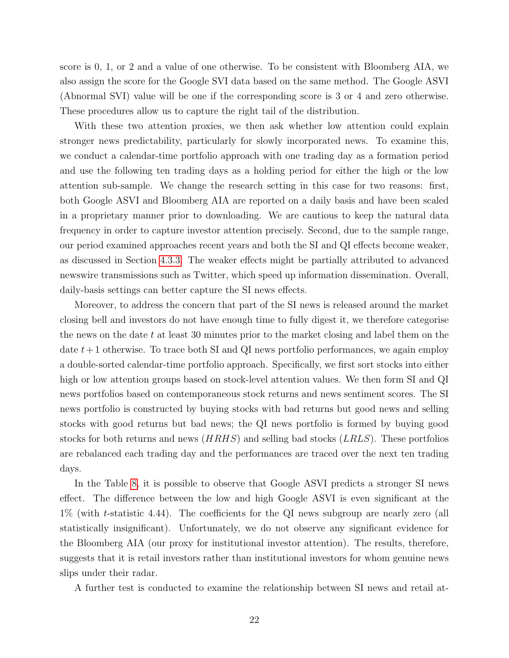score is 0, 1, or 2 and a value of one otherwise. To be consistent with Bloomberg AIA, we also assign the score for the Google SVI data based on the same method. The Google ASVI (Abnormal SVI) value will be one if the corresponding score is 3 or 4 and zero otherwise. These procedures allow us to capture the right tail of the distribution.

With these two attention proxies, we then ask whether low attention could explain stronger news predictability, particularly for slowly incorporated news. To examine this, we conduct a calendar-time portfolio approach with one trading day as a formation period and use the following ten trading days as a holding period for either the high or the low attention sub-sample. We change the research setting in this case for two reasons: first, both Google ASVI and Bloomberg AIA are reported on a daily basis and have been scaled in a proprietary manner prior to downloading. We are cautious to keep the natural data frequency in order to capture investor attention precisely. Second, due to the sample range, our period examined approaches recent years and both the SI and QI effects become weaker, as discussed in Section [4.3.3.](#page-17-2) The weaker effects might be partially attributed to advanced newswire transmissions such as Twitter, which speed up information dissemination. Overall, daily-basis settings can better capture the SI news effects.

Moreover, to address the concern that part of the SI news is released around the market closing bell and investors do not have enough time to fully digest it, we therefore categorise the news on the date t at least 30 minutes prior to the market closing and label them on the date  $t+1$  otherwise. To trace both SI and QI news portfolio performances, we again employ a double-sorted calendar-time portfolio approach. Specifically, we first sort stocks into either high or low attention groups based on stock-level attention values. We then form SI and QI news portfolios based on contemporaneous stock returns and news sentiment scores. The SI news portfolio is constructed by buying stocks with bad returns but good news and selling stocks with good returns but bad news; the QI news portfolio is formed by buying good stocks for both returns and news (*HRHS*) and selling bad stocks (*LRLS*). These portfolios are rebalanced each trading day and the performances are traced over the next ten trading days.

In the Table [8,](#page-44-0) it is possible to observe that Google ASVI predicts a stronger SI news effect. The difference between the low and high Google ASVI is even significant at the 1% (with t-statistic 4.44). The coefficients for the QI news subgroup are nearly zero (all statistically insignificant). Unfortunately, we do not observe any significant evidence for the Bloomberg AIA (our proxy for institutional investor attention). The results, therefore, suggests that it is retail investors rather than institutional investors for whom genuine news slips under their radar.

A further test is conducted to examine the relationship between SI news and retail at-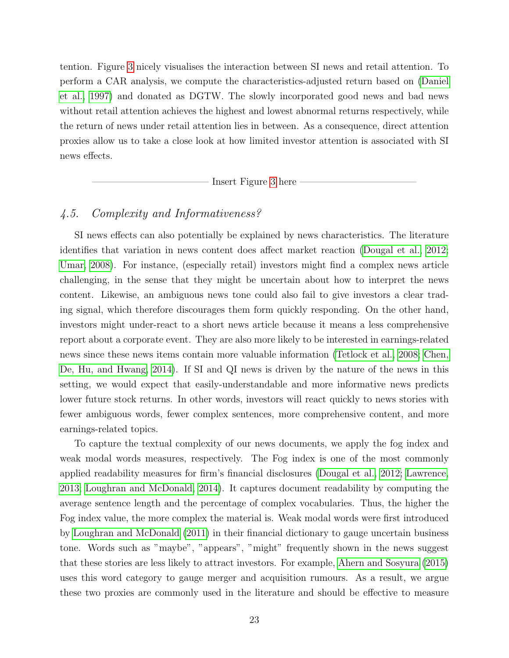tention. Figure [3](#page-36-0) nicely visualises the interaction between SI news and retail attention. To perform a CAR analysis, we compute the characteristics-adjusted return based on [\(Daniel](#page-29-7) [et al., 1997\)](#page-29-7) and donated as DGTW. The slowly incorporated good news and bad news without retail attention achieves the highest and lowest abnormal returns respectively, while the return of news under retail attention lies in between. As a consequence, direct attention proxies allow us to take a close look at how limited investor attention is associated with SI news effects.

———————————— Insert Figure [3](#page-36-0) here ————————————

# 4.5. Complexity and Informativeness?

SI news effects can also potentially be explained by news characteristics. The literature identifies that variation in news content does affect market reaction [\(Dougal et al., 2012;](#page-29-2) [Umar, 2008\)](#page-31-5). For instance, (especially retail) investors might find a complex news article challenging, in the sense that they might be uncertain about how to interpret the news content. Likewise, an ambiguous news tone could also fail to give investors a clear trading signal, which therefore discourages them form quickly responding. On the other hand, investors might under-react to a short news article because it means a less comprehensive report about a corporate event. They are also more likely to be interested in earnings-related news since these news items contain more valuable information [\(Tetlock et al., 2008;](#page-31-2) [Chen,](#page-28-9) [De, Hu, and Hwang, 2014\)](#page-28-9). If SI and QI news is driven by the nature of the news in this setting, we would expect that easily-understandable and more informative news predicts lower future stock returns. In other words, investors will react quickly to news stories with fewer ambiguous words, fewer complex sentences, more comprehensive content, and more earnings-related topics.

To capture the textual complexity of our news documents, we apply the fog index and weak modal words measures, respectively. The Fog index is one of the most commonly applied readability measures for firm's financial disclosures [\(Dougal et al., 2012;](#page-29-2) [Lawrence,](#page-30-4) [2013;](#page-30-4) [Loughran and McDonald, 2014\)](#page-31-4). It captures document readability by computing the average sentence length and the percentage of complex vocabularies. Thus, the higher the Fog index value, the more complex the material is. Weak modal words were first introduced by [Loughran and McDonald](#page-31-3) [\(2011\)](#page-31-3) in their financial dictionary to gauge uncertain business tone. Words such as "maybe", "appears", "might" frequently shown in the news suggest that these stories are less likely to attract investors. For example, [Ahern and Sosyura](#page-28-10) [\(2015\)](#page-28-10) uses this word category to gauge merger and acquisition rumours. As a result, we argue these two proxies are commonly used in the literature and should be effective to measure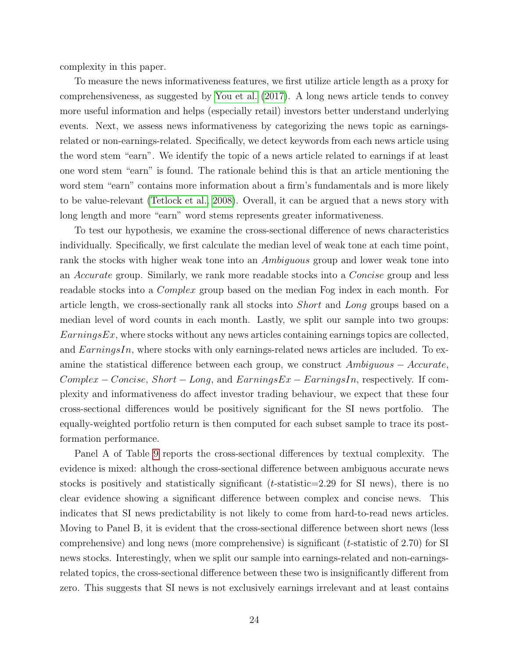complexity in this paper.

To measure the news informativeness features, we first utilize article length as a proxy for comprehensiveness, as suggested by [You et al.](#page-31-6) [\(2017\)](#page-31-6). A long news article tends to convey more useful information and helps (especially retail) investors better understand underlying events. Next, we assess news informativeness by categorizing the news topic as earningsrelated or non-earnings-related. Specifically, we detect keywords from each news article using the word stem "earn". We identify the topic of a news article related to earnings if at least one word stem "earn" is found. The rationale behind this is that an article mentioning the word stem "earn" contains more information about a firm's fundamentals and is more likely to be value-relevant [\(Tetlock et al., 2008\)](#page-31-2). Overall, it can be argued that a news story with long length and more "earn" word stems represents greater informativeness.

To test our hypothesis, we examine the cross-sectional difference of news characteristics individually. Specifically, we first calculate the median level of weak tone at each time point, rank the stocks with higher weak tone into an *Ambiguous* group and lower weak tone into an Accurate group. Similarly, we rank more readable stocks into a Concise group and less readable stocks into a Complex group based on the median Fog index in each month. For article length, we cross-sectionally rank all stocks into Short and Long groups based on a median level of word counts in each month. Lastly, we split our sample into two groups:  $\mathit{EarningsEx}$ , where stocks without any news articles containing earnings topics are collected, and  $EarningsIn$ , where stocks with only earnings-related news articles are included. To examine the statistical difference between each group, we construct Ambiguous − Accurate,  $Complex - Concise, Short - Long, and EarningsEx - EarningsIn, respectively.$  If complexity and informativeness do affect investor trading behaviour, we expect that these four cross-sectional differences would be positively significant for the SI news portfolio. The equally-weighted portfolio return is then computed for each subset sample to trace its postformation performance.

Panel A of Table [9](#page-45-0) reports the cross-sectional differences by textual complexity. The evidence is mixed: although the cross-sectional difference between ambiguous accurate news stocks is positively and statistically significant  $(t\text{-statistic}=2.29 \text{ for SI news})$ , there is no clear evidence showing a significant difference between complex and concise news. This indicates that SI news predictability is not likely to come from hard-to-read news articles. Moving to Panel B, it is evident that the cross-sectional difference between short news (less comprehensive) and long news (more comprehensive) is significant  $(t\text{-statistic of } 2.70)$  for SI news stocks. Interestingly, when we split our sample into earnings-related and non-earningsrelated topics, the cross-sectional difference between these two is insignificantly different from zero. This suggests that SI news is not exclusively earnings irrelevant and at least contains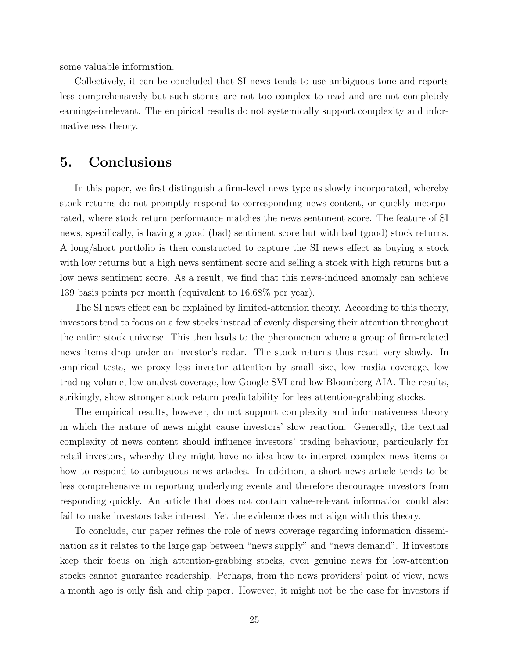some valuable information.

Collectively, it can be concluded that SI news tends to use ambiguous tone and reports less comprehensively but such stories are not too complex to read and are not completely earnings-irrelevant. The empirical results do not systemically support complexity and informativeness theory.

# 5. Conclusions

In this paper, we first distinguish a firm-level news type as slowly incorporated, whereby stock returns do not promptly respond to corresponding news content, or quickly incorporated, where stock return performance matches the news sentiment score. The feature of SI news, specifically, is having a good (bad) sentiment score but with bad (good) stock returns. A long/short portfolio is then constructed to capture the SI news effect as buying a stock with low returns but a high news sentiment score and selling a stock with high returns but a low news sentiment score. As a result, we find that this news-induced anomaly can achieve 139 basis points per month (equivalent to 16.68% per year).

The SI news effect can be explained by limited-attention theory. According to this theory, investors tend to focus on a few stocks instead of evenly dispersing their attention throughout the entire stock universe. This then leads to the phenomenon where a group of firm-related news items drop under an investor's radar. The stock returns thus react very slowly. In empirical tests, we proxy less investor attention by small size, low media coverage, low trading volume, low analyst coverage, low Google SVI and low Bloomberg AIA. The results, strikingly, show stronger stock return predictability for less attention-grabbing stocks.

The empirical results, however, do not support complexity and informativeness theory in which the nature of news might cause investors' slow reaction. Generally, the textual complexity of news content should influence investors' trading behaviour, particularly for retail investors, whereby they might have no idea how to interpret complex news items or how to respond to ambiguous news articles. In addition, a short news article tends to be less comprehensive in reporting underlying events and therefore discourages investors from responding quickly. An article that does not contain value-relevant information could also fail to make investors take interest. Yet the evidence does not align with this theory.

To conclude, our paper refines the role of news coverage regarding information dissemination as it relates to the large gap between "news supply" and "news demand". If investors keep their focus on high attention-grabbing stocks, even genuine news for low-attention stocks cannot guarantee readership. Perhaps, from the news providers' point of view, news a month ago is only fish and chip paper. However, it might not be the case for investors if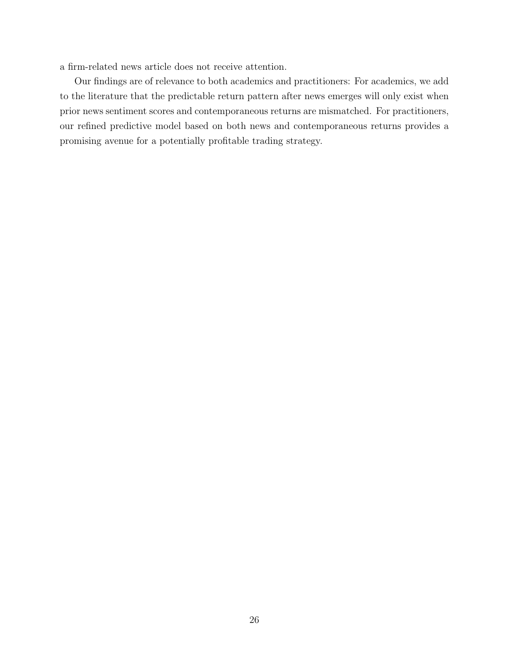a firm-related news article does not receive attention.

Our findings are of relevance to both academics and practitioners: For academics, we add to the literature that the predictable return pattern after news emerges will only exist when prior news sentiment scores and contemporaneous returns are mismatched. For practitioners, our refined predictive model based on both news and contemporaneous returns provides a promising avenue for a potentially profitable trading strategy.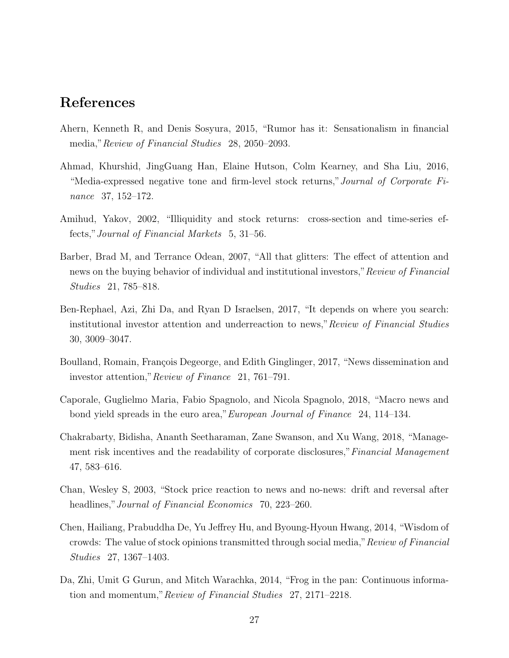# References

- <span id="page-28-10"></span>Ahern, Kenneth R, and Denis Sosyura, 2015, "Rumor has it: Sensationalism in financial media,"Review of Financial Studies 28, 2050–2093.
- <span id="page-28-1"></span>Ahmad, Khurshid, JingGuang Han, Elaine Hutson, Colm Kearney, and Sha Liu, 2016, "Media-expressed negative tone and firm-level stock returns,"Journal of Corporate Finance 37, 152–172.
- <span id="page-28-7"></span>Amihud, Yakov, 2002, "Illiquidity and stock returns: cross-section and time-series effects,"Journal of Financial Markets 5, 31–56.
- <span id="page-28-8"></span>Barber, Brad M, and Terrance Odean, 2007, "All that glitters: The effect of attention and news on the buying behavior of individual and institutional investors,"Review of Financial Studies 21, 785–818.
- <span id="page-28-3"></span>Ben-Rephael, Azi, Zhi Da, and Ryan D Israelsen, 2017, "It depends on where you search: institutional investor attention and underreaction to news,"Review of Financial Studies 30, 3009–3047.
- <span id="page-28-5"></span>Boulland, Romain, François Degeorge, and Edith Ginglinger, 2017, "News dissemination and investor attention,"Review of Finance 21, 761–791.
- <span id="page-28-6"></span>Caporale, Guglielmo Maria, Fabio Spagnolo, and Nicola Spagnolo, 2018, "Macro news and bond yield spreads in the euro area,"European Journal of Finance 24, 114–134.
- <span id="page-28-4"></span>Chakrabarty, Bidisha, Ananth Seetharaman, Zane Swanson, and Xu Wang, 2018, "Management risk incentives and the readability of corporate disclosures," Financial Management 47, 583–616.
- <span id="page-28-0"></span>Chan, Wesley S, 2003, "Stock price reaction to news and no-news: drift and reversal after headlines," Journal of Financial Economics 70, 223–260.
- <span id="page-28-9"></span>Chen, Hailiang, Prabuddha De, Yu Jeffrey Hu, and Byoung-Hyoun Hwang, 2014, "Wisdom of crowds: The value of stock opinions transmitted through social media," Review of Financial Studies 27, 1367–1403.
- <span id="page-28-2"></span>Da, Zhi, Umit G Gurun, and Mitch Warachka, 2014, "Frog in the pan: Continuous information and momentum,"Review of Financial Studies 27, 2171–2218.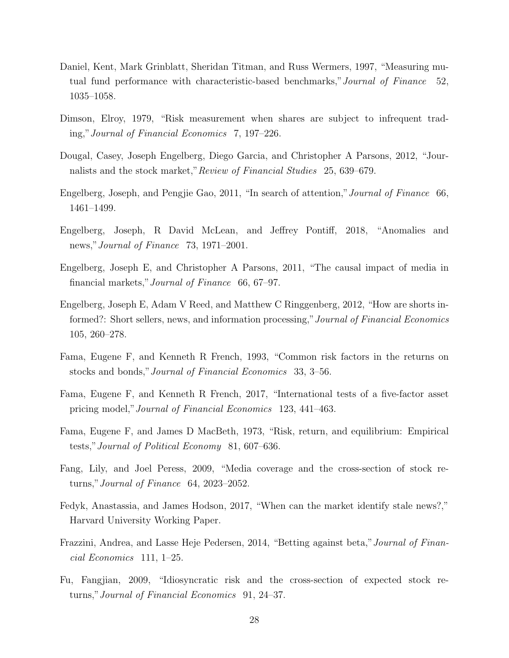- <span id="page-29-13"></span><span id="page-29-7"></span>Daniel, Kent, Mark Grinblatt, Sheridan Titman, and Russ Wermers, 1997, "Measuring mutual fund performance with characteristic-based benchmarks,"Journal of Finance 52, 1035–1058.
- <span id="page-29-10"></span>Dimson, Elroy, 1979, "Risk measurement when shares are subject to infrequent trading,"Journal of Financial Economics 7, 197–226.
- <span id="page-29-2"></span>Dougal, Casey, Joseph Engelberg, Diego Garcia, and Christopher A Parsons, 2012, "Journalists and the stock market,"Review of Financial Studies 25, 639–679.
- <span id="page-29-0"></span>Engelberg, Joseph, and Pengjie Gao, 2011, "In search of attention,"Journal of Finance 66, 1461–1499.
- <span id="page-29-6"></span>Engelberg, Joseph, R David McLean, and Jeffrey Pontiff, 2018, "Anomalies and news,"Journal of Finance 73, 1971–2001.
- <span id="page-29-4"></span>Engelberg, Joseph E, and Christopher A Parsons, 2011, "The causal impact of media in financial markets,"Journal of Finance 66, 67–97.
- <span id="page-29-5"></span>Engelberg, Joseph E, Adam V Reed, and Matthew C Ringgenberg, 2012, "How are shorts informed?: Short sellers, news, and information processing," Journal of Financial Economics 105, 260–278.
- <span id="page-29-9"></span>Fama, Eugene F, and Kenneth R French, 1993, "Common risk factors in the returns on stocks and bonds,"Journal of Financial Economics 33, 3–56.
- <span id="page-29-14"></span>Fama, Eugene F, and Kenneth R French, 2017, "International tests of a five-factor asset pricing model,"Journal of Financial Economics 123, 441–463.
- <span id="page-29-8"></span>Fama, Eugene F, and James D MacBeth, 1973, "Risk, return, and equilibrium: Empirical tests,"Journal of Political Economy 81, 607–636.
- <span id="page-29-1"></span>Fang, Lily, and Joel Peress, 2009, "Media coverage and the cross-section of stock returns,"Journal of Finance 64, 2023–2052.
- <span id="page-29-3"></span>Fedyk, Anastassia, and James Hodson, 2017, "When can the market identify stale news?," Harvard University Working Paper.
- <span id="page-29-12"></span>Frazzini, Andrea, and Lasse Heje Pedersen, 2014, "Betting against beta,"Journal of Financial Economics 111, 1–25.
- <span id="page-29-11"></span>Fu, Fangjian, 2009, "Idiosyncratic risk and the cross-section of expected stock returns,"Journal of Financial Economics 91, 24–37.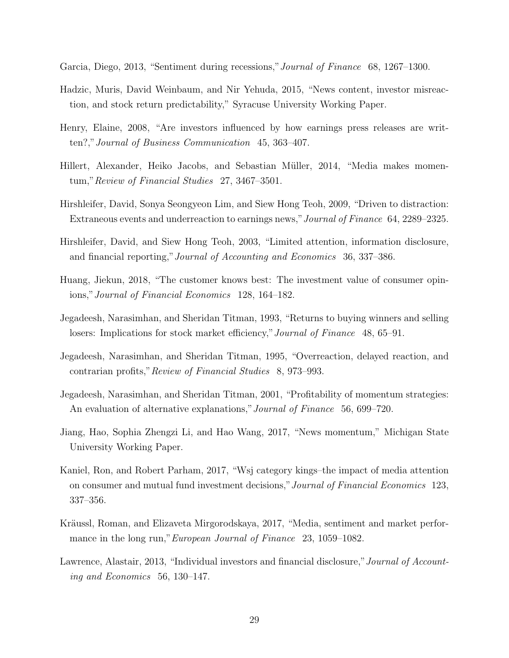- <span id="page-30-0"></span>Garcia, Diego, 2013, "Sentiment during recessions,"Journal of Finance 68, 1267–1300.
- <span id="page-30-6"></span>Hadzic, Muris, David Weinbaum, and Nir Yehuda, 2015, "News content, investor misreaction, and stock return predictability," Syracuse University Working Paper.
- <span id="page-30-10"></span>Henry, Elaine, 2008, "Are investors influenced by how earnings press releases are written?,"Journal of Business Communication 45, 363–407.
- <span id="page-30-5"></span>Hillert, Alexander, Heiko Jacobs, and Sebastian Müller, 2014, "Media makes momentum,"Review of Financial Studies 27, 3467–3501.
- <span id="page-30-3"></span>Hirshleifer, David, Sonya Seongyeon Lim, and Siew Hong Teoh, 2009, "Driven to distraction: Extraneous events and underreaction to earnings news,"Journal of Finance 64, 2289–2325.
- <span id="page-30-13"></span>Hirshleifer, David, and Siew Hong Teoh, 2003, "Limited attention, information disclosure, and financial reporting,"Journal of Accounting and Economics 36, 337–386.
- <span id="page-30-12"></span>Huang, Jiekun, 2018, "The customer knows best: The investment value of consumer opinions,"Journal of Financial Economics 128, 164–182.
- <span id="page-30-7"></span>Jegadeesh, Narasimhan, and Sheridan Titman, 1993, "Returns to buying winners and selling losers: Implications for stock market efficiency," Journal of Finance 48, 65–91.
- <span id="page-30-8"></span>Jegadeesh, Narasimhan, and Sheridan Titman, 1995, "Overreaction, delayed reaction, and contrarian profits,"Review of Financial Studies 8, 973–993.
- <span id="page-30-9"></span>Jegadeesh, Narasimhan, and Sheridan Titman, 2001, "Profitability of momentum strategies: An evaluation of alternative explanations," Journal of Finance 56, 699–720.
- <span id="page-30-1"></span>Jiang, Hao, Sophia Zhengzi Li, and Hao Wang, 2017, "News momentum," Michigan State University Working Paper.
- <span id="page-30-11"></span>Kaniel, Ron, and Robert Parham, 2017, "Wsj category kings–the impact of media attention on consumer and mutual fund investment decisions,"Journal of Financial Economics 123, 337–356.
- <span id="page-30-2"></span>Kräussl, Roman, and Elizaveta Mirgorodskaya, 2017, "Media, sentiment and market performance in the long run," *European Journal of Finance* 23, 1059–1082.
- <span id="page-30-4"></span>Lawrence, Alastair, 2013, "Individual investors and financial disclosure," Journal of Accounting and Economics 56, 130–147.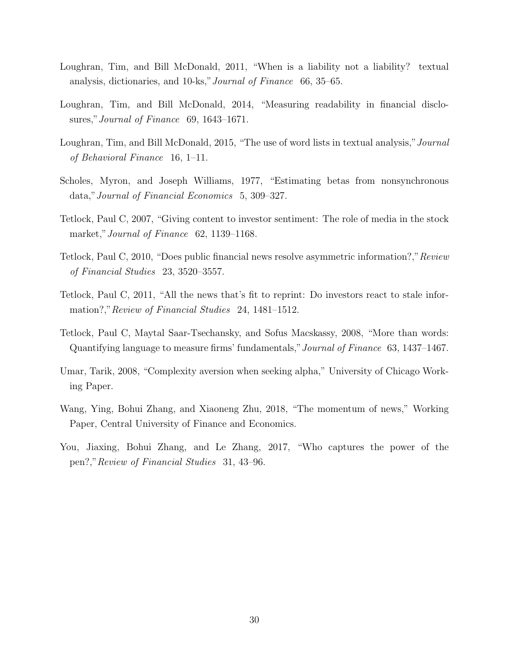- <span id="page-31-3"></span>Loughran, Tim, and Bill McDonald, 2011, "When is a liability not a liability? textual analysis, dictionaries, and 10-ks,"Journal of Finance 66, 35–65.
- <span id="page-31-4"></span>Loughran, Tim, and Bill McDonald, 2014, "Measuring readability in financial disclosures," Journal of Finance 69, 1643–1671.
- <span id="page-31-9"></span>Loughran, Tim, and Bill McDonald, 2015, "The use of word lists in textual analysis," Journal of Behavioral Finance 16, 1–11.
- <span id="page-31-10"></span>Scholes, Myron, and Joseph Williams, 1977, "Estimating betas from nonsynchronous data,"Journal of Financial Economics 5, 309–327.
- <span id="page-31-1"></span>Tetlock, Paul C, 2007, "Giving content to investor sentiment: The role of media in the stock market," Journal of Finance 62, 1139–1168.
- <span id="page-31-7"></span>Tetlock, Paul C, 2010, "Does public financial news resolve asymmetric information?,"Review of Financial Studies 23, 3520–3557.
- <span id="page-31-8"></span>Tetlock, Paul C, 2011, "All the news that's fit to reprint: Do investors react to stale information?," Review of Financial Studies 24, 1481–1512.
- <span id="page-31-2"></span>Tetlock, Paul C, Maytal Saar-Tsechansky, and Sofus Macskassy, 2008, "More than words: Quantifying language to measure firms' fundamentals,"Journal of Finance 63, 1437–1467.
- <span id="page-31-5"></span>Umar, Tarik, 2008, "Complexity aversion when seeking alpha," University of Chicago Working Paper.
- <span id="page-31-0"></span>Wang, Ying, Bohui Zhang, and Xiaoneng Zhu, 2018, "The momentum of news," Working Paper, Central University of Finance and Economics.
- <span id="page-31-6"></span>You, Jiaxing, Bohui Zhang, and Le Zhang, 2017, "Who captures the power of the pen?,"Review of Financial Studies 31, 43–96.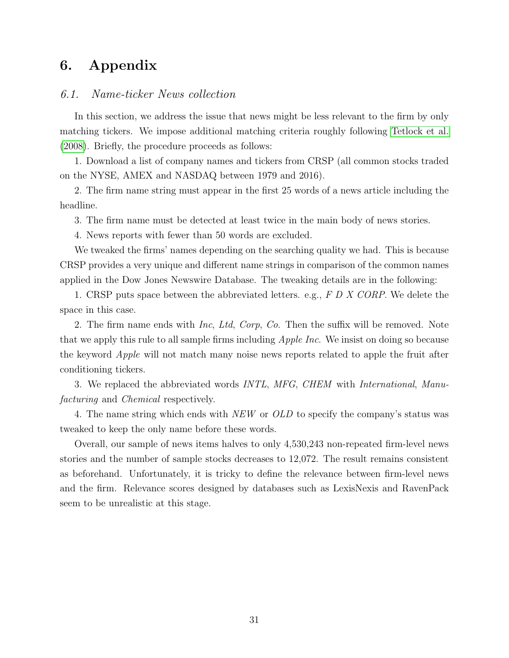# 6. Appendix

# 6.1. Name-ticker News collection

In this section, we address the issue that news might be less relevant to the firm by only matching tickers. We impose additional matching criteria roughly following [Tetlock et al.](#page-31-2) [\(2008\)](#page-31-2). Briefly, the procedure proceeds as follows:

1. Download a list of company names and tickers from CRSP (all common stocks traded on the NYSE, AMEX and NASDAQ between 1979 and 2016).

2. The firm name string must appear in the first 25 words of a news article including the headline.

3. The firm name must be detected at least twice in the main body of news stories.

4. News reports with fewer than 50 words are excluded.

We tweaked the firms' names depending on the searching quality we had. This is because CRSP provides a very unique and different name strings in comparison of the common names applied in the Dow Jones Newswire Database. The tweaking details are in the following:

1. CRSP puts space between the abbreviated letters. e.g., F D X CORP. We delete the space in this case.

2. The firm name ends with  $Inc$ , Ltd, Corp, Co. Then the suffix will be removed. Note that we apply this rule to all sample firms including *Apple Inc*. We insist on doing so because the keyword Apple will not match many noise news reports related to apple the fruit after conditioning tickers.

3. We replaced the abbreviated words INTL, MFG, CHEM with International, Manufacturing and Chemical respectively.

4. The name string which ends with NEW or OLD to specify the company's status was tweaked to keep the only name before these words.

Overall, our sample of news items halves to only 4,530,243 non-repeated firm-level news stories and the number of sample stocks decreases to 12,072. The result remains consistent as beforehand. Unfortunately, it is tricky to define the relevance between firm-level news and the firm. Relevance scores designed by databases such as LexisNexis and RavenPack seem to be unrealistic at this stage.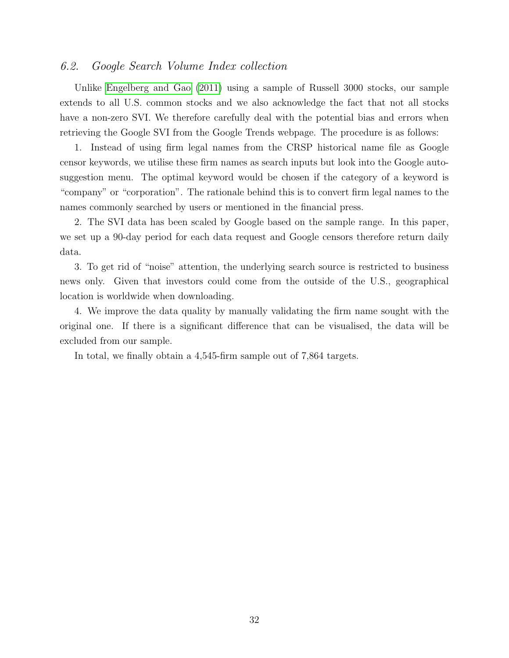# 6.2. Google Search Volume Index collection

Unlike [Engelberg and Gao](#page-29-0) [\(2011\)](#page-29-0) using a sample of Russell 3000 stocks, our sample extends to all U.S. common stocks and we also acknowledge the fact that not all stocks have a non-zero SVI. We therefore carefully deal with the potential bias and errors when retrieving the Google SVI from the Google Trends webpage. The procedure is as follows:

1. Instead of using firm legal names from the CRSP historical name file as Google censor keywords, we utilise these firm names as search inputs but look into the Google autosuggestion menu. The optimal keyword would be chosen if the category of a keyword is "company" or "corporation". The rationale behind this is to convert firm legal names to the names commonly searched by users or mentioned in the financial press.

2. The SVI data has been scaled by Google based on the sample range. In this paper, we set up a 90-day period for each data request and Google censors therefore return daily data.

3. To get rid of "noise" attention, the underlying search source is restricted to business news only. Given that investors could come from the outside of the U.S., geographical location is worldwide when downloading.

4. We improve the data quality by manually validating the firm name sought with the original one. If there is a significant difference that can be visualised, the data will be excluded from our sample.

In total, we finally obtain a 4,545-firm sample out of 7,864 targets.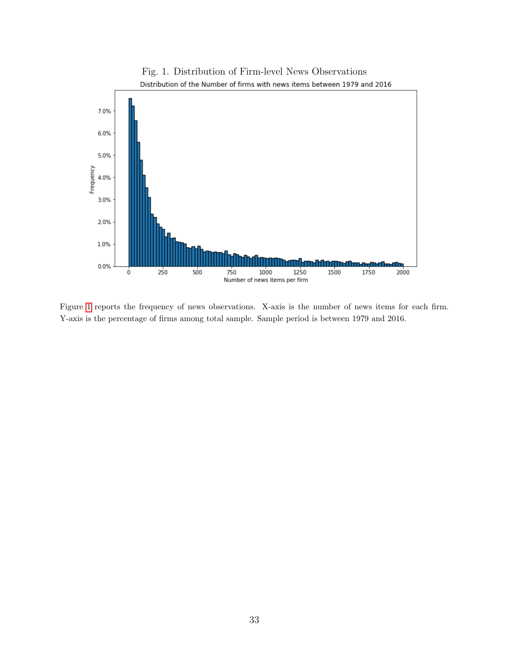<span id="page-34-0"></span>

Figure [1](#page-34-0) reports the frequency of news observations. X-axis is the number of news items for each firm. Y-axis is the percentage of firms among total sample. Sample period is between 1979 and 2016.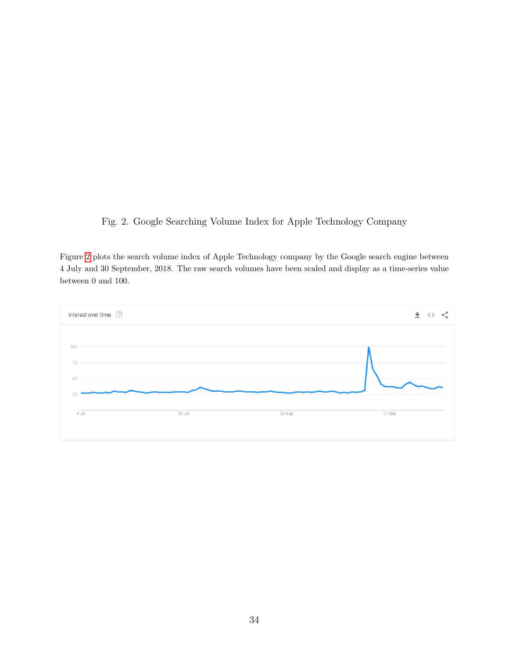<span id="page-35-0"></span>Fig. 2. Google Searching Volume Index for Apple Technology Company

Figure [2](#page-35-0) plots the search volume index of Apple Technology company by the Google search engine between 4 July and 30 September, 2018. The raw search volumes have been scaled and display as a time-series value between 0 and 100.

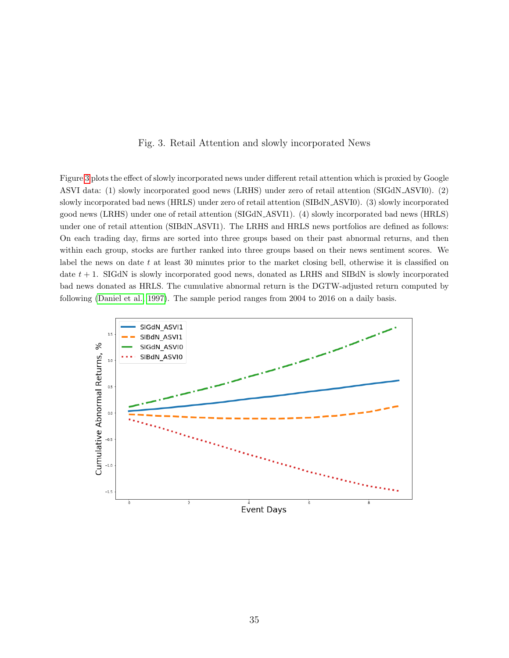#### Fig. 3. Retail Attention and slowly incorporated News

<span id="page-36-0"></span>Figure [3](#page-36-0) plots the effect of slowly incorporated news under different retail attention which is proxied by Google ASVI data: (1) slowly incorporated good news (LRHS) under zero of retail attention (SIGdN ASVI0). (2) slowly incorporated bad news (HRLS) under zero of retail attention (SIBdN ASVI0). (3) slowly incorporated good news (LRHS) under one of retail attention (SIGdN ASVI1). (4) slowly incorporated bad news (HRLS) under one of retail attention (SIBdN ASVI1). The LRHS and HRLS news portfolios are defined as follows: On each trading day, firms are sorted into three groups based on their past abnormal returns, and then within each group, stocks are further ranked into three groups based on their news sentiment scores. We label the news on date  $t$  at least 30 minutes prior to the market closing bell, otherwise it is classified on date  $t + 1$ . SIGdN is slowly incorporated good news, donated as LRHS and SIBdN is slowly incorporated bad news donated as HRLS. The cumulative abnormal return is the DGTW-adjusted return computed by following [\(Daniel et al., 1997\)](#page-29-7). The sample period ranges from 2004 to 2016 on a daily basis.

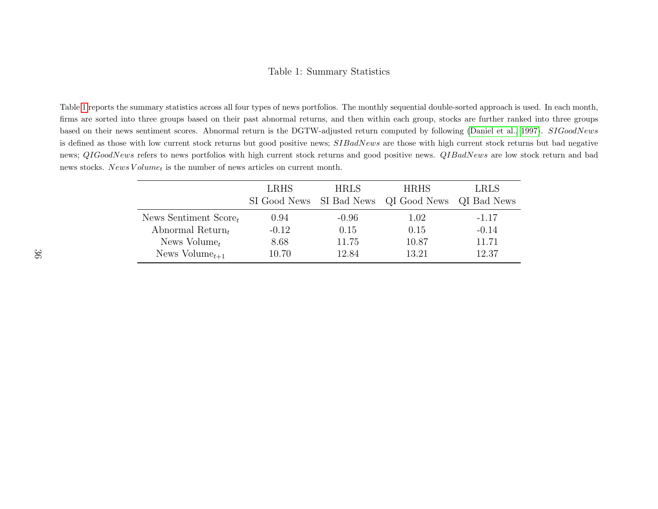#### Table 1: Summary Statistics

<span id="page-37-1"></span>Table [1](#page-37-1) reports the summary statistics across all four types of news portfolios. The monthly sequential double-sorted approach is used. In each month,firms are sorted into three groups based on their past abnormal returns, and then within each group, stocks are further ranked into three groupsbased on their news sentiment scores. Abnormal return is the DGTW-adjusted return computed by following ([Daniel](#page-29-13) et al., [1997\)](#page-29-13).  $SIGoodNews$ is defined as those with low current stock returns but good positive news;  $SIBadNews$  are those with high current stock returns but bad negative news;  $QIGoodNews$  refers to news portfolios with high current stock returns and good positive news.  $QIBadNews$  are low stock return and bad news stocks.  $News Volume<sub>t</sub>$  is the number of news articles on current month.

<span id="page-37-0"></span>

|                            | <b>LRHS</b> | <b>HRLS</b> | <b>HRHS</b><br>SI Good News SI Bad News QI Good News QI Bad News | <b>LRLS</b> |
|----------------------------|-------------|-------------|------------------------------------------------------------------|-------------|
| News Sentiment Score       | 0.94        | $-0.96$     | 1.02                                                             | $-1.17$     |
| Abnormal Return            | $-0.12$     | 0.15        | 0.15                                                             | $-0.14$     |
| News $Volume_t$            | 8.68        | 11.75       | 10.87                                                            | 11.71       |
| News Volume <sub>t+1</sub> | 10.70       | 12.84       | 13.21                                                            | 12.37       |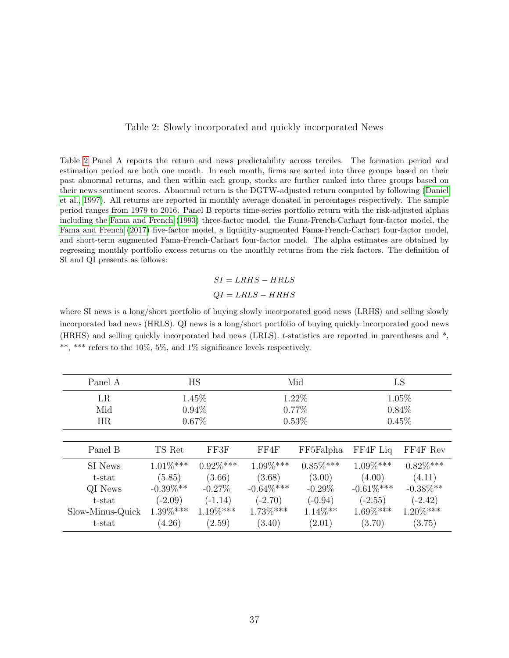#### Table 2: Slowly incorporated and quickly incorporated News

<span id="page-38-0"></span>Table [2](#page-38-0) Panel A reports the return and news predictability across terciles. The formation period and estimation period are both one month. In each month, firms are sorted into three groups based on their past abnormal returns, and then within each group, stocks are further ranked into three groups based on their news sentiment scores. Abnormal return is the DGTW-adjusted return computed by following [\(Daniel](#page-29-7) [et al., 1997\)](#page-29-7). All returns are reported in monthly average donated in percentages respectively. The sample period ranges from 1979 to 2016. Panel B reports time-series portfolio return with the risk-adjusted alphas including the [Fama and French](#page-29-9) [\(1993\)](#page-29-9) three-factor model, the Fama-French-Carhart four-factor model, the [Fama and French](#page-29-14) [\(2017\)](#page-29-14) five-factor model, a liquidity-augmented Fama-French-Carhart four-factor model, and short-term augmented Fama-French-Carhart four-factor model. The alpha estimates are obtained by regressing monthly portfolio excess returns on the monthly returns from the risk factors. The definition of SI and QI presents as follows:

> $SI = LRHS - HRLS$  $QI = LRLS - HRHS$

where SI news is a long/short portfolio of buying slowly incorporated good news (LRHS) and selling slowly incorporated bad news (HRLS). QI news is a long/short portfolio of buying quickly incorporated good news (HRHS) and selling quickly incorporated bad news (LRLS). t-statistics are reported in parentheses and \*, \*\*, \*\*\* refers to the 10%, 5%, and 1% significance levels respectively.

| Panel A          | <b>HS</b>   |             |               | Mid         |              | LS           |  |
|------------------|-------------|-------------|---------------|-------------|--------------|--------------|--|
| LR               |             | 1.45%       |               | 1.22%       |              | $1.05\%$     |  |
| Mid              |             | $0.94\%$    |               | $0.77\%$    |              | $0.84\%$     |  |
| HR               |             | $0.67\%$    | $0.53\%$      |             | 0.45%        |              |  |
|                  |             |             |               |             |              |              |  |
| Panel B          | TS Ret      | FF3F        | FF4F          | FF5Falpha   | FF4F Liq     | FF4F Rev     |  |
| SI News          | $1.01\%***$ | $0.92\%***$ | $1.09\%***$   | $0.85\%***$ | $1.09\%***$  | $0.82\%***$  |  |
| $t$ -stat        | (5.85)      | (3.66)      | (3.68)        | (3.00)      | (4.00)       | (4.11)       |  |
| QI News          | $-0.39\%**$ | $-0.27\%$   | $-0.64\%$ *** | $-0.29\%$   | $-0.61\%***$ | $-0.38\%$ ** |  |
| t-stat           | $(-2.09)$   | $(-1.14)$   | $(-2.70)$     | $(-0.94)$   | $(-2.55)$    | $(-2.42)$    |  |
| Slow-Minus-Quick | $1.39\%***$ | $1.19\%***$ | $1.73\%***$   | $1.14\%**$  | $1.69\%***$  | $1.20\%***$  |  |
| t-stat           | (4.26)      | (2.59)      | (3.40)        | (2.01)      | (3.70)       | (3.75)       |  |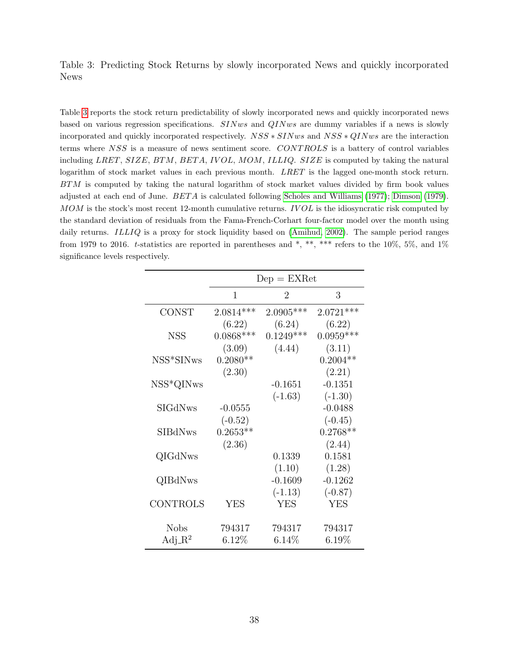<span id="page-39-0"></span>Table 3: Predicting Stock Returns by slowly incorporated News and quickly incorporated News

Table [3](#page-39-0) reports the stock return predictability of slowly incorporated news and quickly incorporated news based on various regression specifications. SINws and QINws are dummy variables if a news is slowly incorporated and quickly incorporated respectively. NSS ∗ SINws and NSS ∗ QINws are the interaction terms where NSS is a measure of news sentiment score. CONT ROLS is a battery of control variables including LRET, SIZE, BTM, BETA, IVOL, MOM, ILLIQ. SIZE is computed by taking the natural logarithm of stock market values in each previous month. LRET is the lagged one-month stock return. BTM is computed by taking the natural logarithm of stock market values divided by firm book values adjusted at each end of June. BET A is calculated following [Scholes and Williams](#page-31-10) [\(1977\)](#page-31-10); [Dimson](#page-29-10) [\(1979\)](#page-29-10).  $MOM$  is the stock's most recent 12-month cumulative returns.  $IVOL$  is the idiosyncratic risk computed by the standard deviation of residuals from the Fama-French-Corhart four-factor model over the month using daily returns. *ILLIQ* is a proxy for stock liquidity based on [\(Amihud, 2002\)](#page-28-7). The sample period ranges from 1979 to 2016. t-statistics are reported in parentheses and  $*,$  \*\*, \*\*\* refers to the 10%, 5%, and 1% significance levels respectively.

|                       | $Dep = EXRet$ |             |             |  |  |  |  |
|-----------------------|---------------|-------------|-------------|--|--|--|--|
|                       | 1             | 2           | 3           |  |  |  |  |
| <b>CONST</b>          | $2.0814***$   | $2.0905***$ | $2.0721***$ |  |  |  |  |
|                       | (6.22)        | (6.24)      | (6.22)      |  |  |  |  |
| <b>NSS</b>            | $0.0868***$   | $0.1249***$ | $0.0959***$ |  |  |  |  |
|                       | (3.09)        | (4.44)      | (3.11)      |  |  |  |  |
| NSS*SIN <sub>ws</sub> | $0.2080**$    |             | $0.2004**$  |  |  |  |  |
|                       | (2.30)        |             | (2.21)      |  |  |  |  |
| NSS*QINws             |               | $-0.1651$   | $-0.1351$   |  |  |  |  |
|                       |               | $(-1.63)$   | $(-1.30)$   |  |  |  |  |
| SIGdNws               | $-0.0555$     |             | $-0.0488$   |  |  |  |  |
|                       | $(-0.52)$     |             | $(-0.45)$   |  |  |  |  |
| SIBdNws               | $0.2653**$    |             | $0.2768**$  |  |  |  |  |
|                       | (2.36)        |             | (2.44)      |  |  |  |  |
| QIGdNws               |               | 0.1339      | 0.1581      |  |  |  |  |
|                       |               | (1.10)      | (1.28)      |  |  |  |  |
| QIBdNws               |               | $-0.1609$   | $-0.1262$   |  |  |  |  |
|                       |               | $(-1.13)$   | $(-0.87)$   |  |  |  |  |
| <b>CONTROLS</b>       | <b>YES</b>    | <b>YES</b>  | <b>YES</b>  |  |  |  |  |
| <b>Nobs</b>           | 794317        | 794317      | 794317      |  |  |  |  |
| $Adj_R^2$             | 6.12%         | $6.14\%$    | 6.19%       |  |  |  |  |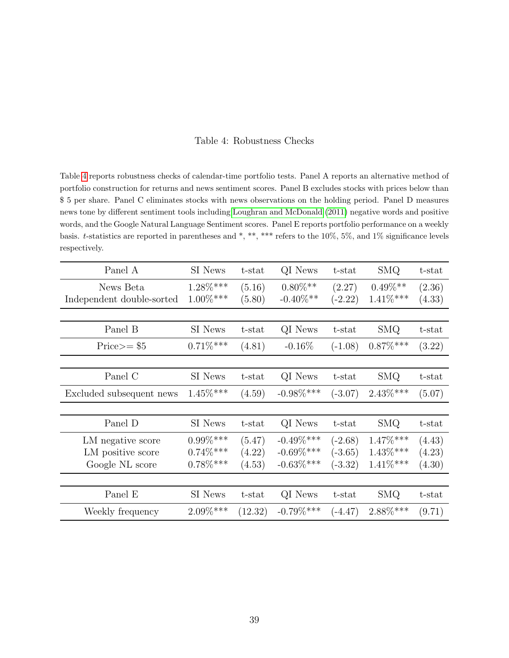#### Table 4: Robustness Checks

<span id="page-40-0"></span>Table [4](#page-40-0) reports robustness checks of calendar-time portfolio tests. Panel A reports an alternative method of portfolio construction for returns and news sentiment scores. Panel B excludes stocks with prices below than \$ 5 per share. Panel C eliminates stocks with news observations on the holding period. Panel D measures news tone by different sentiment tools including [Loughran and McDonald](#page-31-3) [\(2011\)](#page-31-3) negative words and positive words, and the Google Natural Language Sentiment scores. Panel E reports portfolio performance on a weekly basis. t-statistics are reported in parentheses and \*, \*\*, \*\*\* refers to the 10%, 5%, and 1% significance levels respectively.

| Panel A                   | SI News     | t-stat  | QI News       | t-stat    | <b>SMQ</b>  | t-stat |
|---------------------------|-------------|---------|---------------|-----------|-------------|--------|
| News Beta                 | $1.28\%***$ | (5.16)  | $0.80\%$ **   | (2.27)    | $0.49\%**$  | (2.36) |
| Independent double-sorted | $1.00\%***$ | (5.80)  | $-0.40\%$ **  | $(-2.22)$ | $1.41\%***$ | (4.33) |
|                           |             |         |               |           |             |        |
| Panel B                   | SI News     | t-stat  | QI News       | t-stat    | <b>SMQ</b>  | t-stat |
| $Price = $5$              | $0.71\%***$ | (4.81)  | $-0.16\%$     | $(-1.08)$ | $0.87\%***$ | (3.22) |
|                           |             |         |               |           |             |        |
| Panel C                   | SI News     | t-stat  | QI News       | t-stat    | SMQ         | t-stat |
| Excluded subsequent news  | $1.45\%***$ | (4.59)  | $-0.98\%$ *** | $(-3.07)$ | $2.43\%***$ | (5.07) |
|                           |             |         |               |           |             |        |
| Panel D                   | SI News     | t-stat  | QI News       | t-stat    | <b>SMQ</b>  | t-stat |
| LM negative score         | $0.99\%***$ | (5.47)  | $-0.49\%$ *** | $(-2.68)$ | $1.47\%***$ | (4.43) |
| LM positive score         | $0.74\%***$ | (4.22)  | $-0.69\%***$  | $(-3.65)$ | $1.43\%***$ | (4.23) |
| Google NL score           | $0.78\%***$ | (4.53)  | $-0.63\%$ *** | $(-3.32)$ | $1.41\%***$ | (4.30) |
|                           |             |         |               |           |             |        |
| Panel E                   | SI News     | t-stat  | QI News       | t-stat    | <b>SMQ</b>  | t-stat |
| Weekly frequency          | $2.09\%***$ | (12.32) | $-0.79\%***$  | $(-4.47)$ | $2.88\%***$ | (9.71) |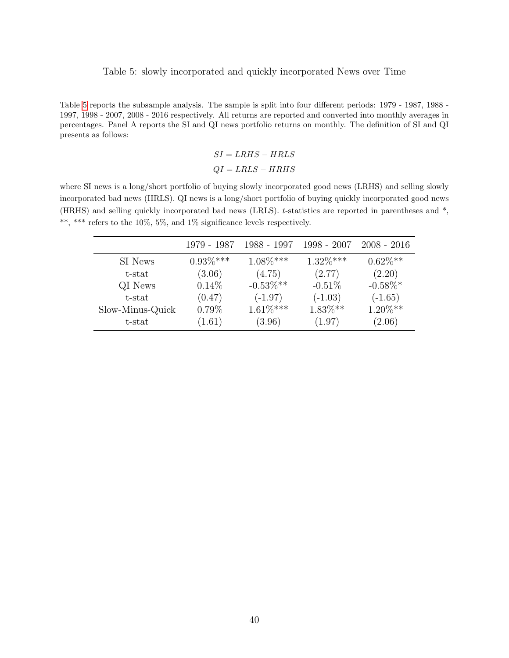#### Table 5: slowly incorporated and quickly incorporated News over Time

<span id="page-41-0"></span>Table [5](#page-41-0) reports the subsample analysis. The sample is split into four different periods: 1979 - 1987, 1988 - 1997, 1998 - 2007, 2008 - 2016 respectively. All returns are reported and converted into monthly averages in percentages. Panel A reports the SI and QI news portfolio returns on monthly. The definition of SI and QI presents as follows:

$$
SI = LRHS - HRLS
$$
  

$$
QI = LRLS - HRHS
$$

where SI news is a long/short portfolio of buying slowly incorporated good news (LRHS) and selling slowly incorporated bad news (HRLS). QI news is a long/short portfolio of buying quickly incorporated good news (HRHS) and selling quickly incorporated bad news (LRLS). t-statistics are reported in parentheses and \*, \*\*, \*\*\* refers to the 10%, 5%, and 1% significance levels respectively.

|                  | 1979 - 1987 | 1988 - 1997  | $1998 - 2007$ | $2008 - 2016$ |
|------------------|-------------|--------------|---------------|---------------|
| SI News          | $0.93\%***$ | $1.08\%***$  | $1.32\%***$   | $0.62\%**$    |
| t-stat           | (3.06)      | (4.75)       | (2.77)        | (2.20)        |
| QI News          | $0.14\%$    | $-0.53\%$ ** | $-0.51%$      | $-0.58\%*$    |
| t-stat           | (0.47)      | $(-1.97)$    | $(-1.03)$     | $(-1.65)$     |
| Slow-Minus-Quick | 0.79%       | $1.61\%***$  | $1.83\%**$    | $1.20\%**$    |
| t-stat           | (1.61)      | (3.96)       | (1.97)        | (2.06)        |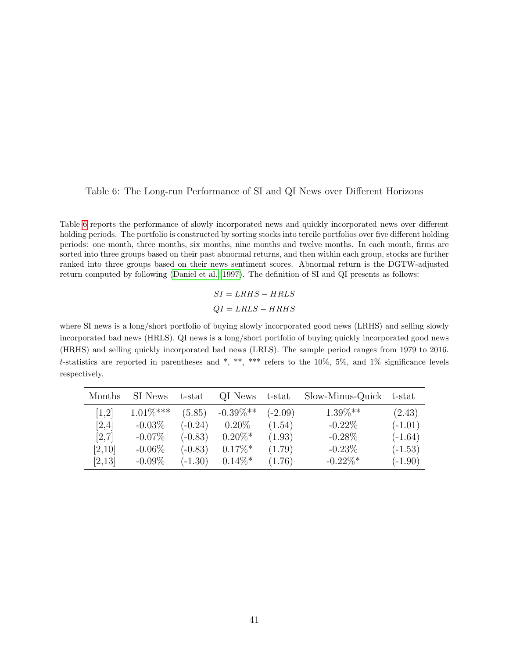## <span id="page-42-0"></span>Table 6: The Long-run Performance of SI and QI News over Different Horizons

Table [6](#page-42-0) reports the performance of slowly incorporated news and quickly incorporated news over different holding periods. The portfolio is constructed by sorting stocks into tercile portfolios over five different holding periods: one month, three months, six months, nine months and twelve months. In each month, firms are sorted into three groups based on their past abnormal returns, and then within each group, stocks are further ranked into three groups based on their news sentiment scores. Abnormal return is the DGTW-adjusted return computed by following [\(Daniel et al., 1997\)](#page-29-7). The definition of SI and QI presents as follows:

> $SI = LRHS - HRLS$  $QI = LRLS - HRHS$

where SI news is a long/short portfolio of buying slowly incorporated good news (LRHS) and selling slowly incorporated bad news (HRLS). QI news is a long/short portfolio of buying quickly incorporated good news (HRHS) and selling quickly incorporated bad news (LRLS). The sample period ranges from 1979 to 2016. t-statistics are reported in parentheses and  $*$ ,  $**$ ,  $***$  refers to the 10%, 5%, and 1% significance levels respectively.

| Months | SI News     | t-stat    | QI News               | t-stat    | Slow-Minus-Quick | t-stat    |
|--------|-------------|-----------|-----------------------|-----------|------------------|-----------|
| [1,2]  | $1.01\%***$ | (5.85)    | $-0.39\%**$           | $(-2.09)$ | $1.39\%**$       | (2.43)    |
| [2,4]  | $-0.03\%$   | $(-0.24)$ | $0.20\%$              | (1.54)    | $-0.22\%$        | $(-1.01)$ |
| [2,7]  | $-0.07\%$   | $(-0.83)$ | $0.20\%*$             | (1.93)    | $-0.28\%$        | $(-1.64)$ |
| [2,10] | $-0.06\%$   | $(-0.83)$ | $0.17\%$ <sup>*</sup> | (1.79)    | $-0.23\%$        | $(-1.53)$ |
| [2,13] | $-0.09\%$   | $(-1.30)$ | $0.14\%*$             | (1.76)    | $-0.22\%*$       | $(-1.90)$ |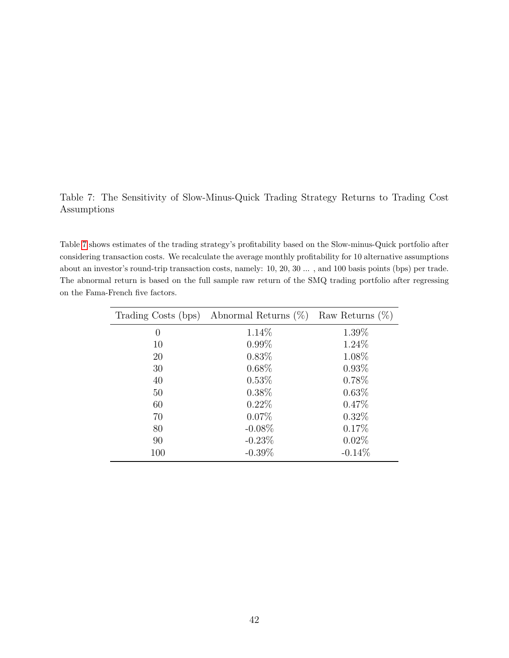# <span id="page-43-0"></span>Table 7: The Sensitivity of Slow-Minus-Quick Trading Strategy Returns to Trading Cost Assumptions

Table [7](#page-43-0) shows estimates of the trading strategy's profitability based on the Slow-minus-Quick portfolio after considering transaction costs. We recalculate the average monthly profitability for 10 alternative assumptions about an investor's round-trip transaction costs, namely: 10, 20, 30 ... , and 100 basis points (bps) per trade. The abnormal return is based on the full sample raw return of the SMQ trading portfolio after regressing on the Fama-French five factors.

| Trading Costs (bps) | Abnormal Returns $(\%)$ | Raw Returns $(\%)$ |
|---------------------|-------------------------|--------------------|
| $\theta$            | 1.14\%                  | 1.39%              |
| 10                  | $0.99\%$                | 1.24%              |
| 20                  | $0.83\%$                | 1.08%              |
| 30                  | 0.68%                   | 0.93%              |
| 40                  | 0.53%                   | 0.78%              |
| 50                  | $0.38\%$                | 0.63%              |
| 60                  | $0.22\%$                | 0.47%              |
| 70                  | $0.07\%$                | 0.32%              |
| 80                  | $-0.08\%$               | 0.17%              |
| 90                  | $-0.23\%$               | $0.02\%$           |
| 100                 | $-0.39\%$               | $-0.14\%$          |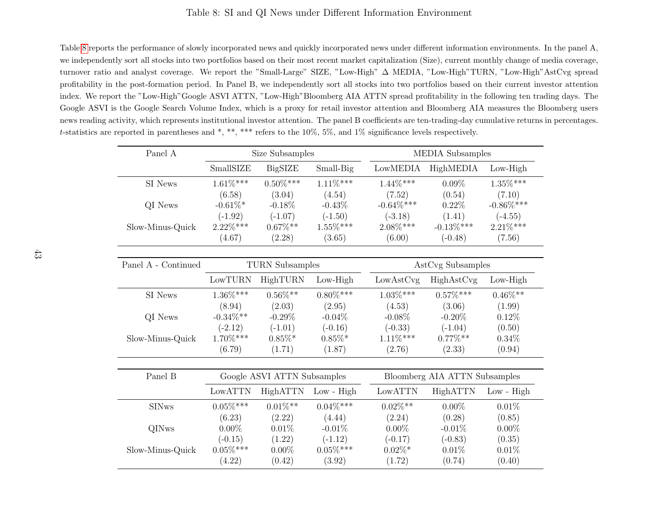# Table 8: SI and QI News under Different Information Environment

<span id="page-44-1"></span>Table [8](#page-44-1) reports the performance of slowly incorporated news and quickly incorporated news under different information environments. In the panel A,we independently sort all stocks into two portfolios based on their most recent market capitalization (Size), current monthly change of media coverage,turnover ratio and analyst coverage. We report the "Small-Large" SIZE, "Low-High" ∆ MEDIA, "Low-High"TURN, "Low-High"AstCvg spread profitability in the post-formation period. In Panel B, we independently sort all stocks into two portfolios based on their current investor attention index. We report the "Low-High"Google ASVI ATTN, "Low-High"Bloomberg AIA ATTN spread profitability in the following ten trading days. TheGoogle ASVI is the Google Search Volume Index, which is <sup>a</sup> proxy for retail investor attention and Bloomberg AIA measures the Bloomberg usersnews reading activity, which represents institutional investor attention. The panel B coefficients are ten-trading-day cumulative returns in percentages.<sup>t</sup>-statistics are reported in parentheses and \*, \*\*, \*\*\* refers to the 10%, 5%, and 1% significance levels respectively.

<span id="page-44-0"></span>

| Panel A             | Size Subsamples |                             |                | MEDIA Subsamples |                               |                |  |  |
|---------------------|-----------------|-----------------------------|----------------|------------------|-------------------------------|----------------|--|--|
|                     | SmallSIZE       | <b>BigSIZE</b>              | Small-Big      | LowMEDIA         | HighMEDIA                     | $Low-High$     |  |  |
| SI News             | $1.61\%***$     | $0.50\%***$                 | $1.11\%***$    | $1.44\%***$      | $0.09\%$                      | $1.35\%^{***}$ |  |  |
|                     | (6.58)          | (3.04)                      | (4.54)         | (7.52)           | (0.54)                        | (7.10)         |  |  |
| QI News             | $-0.61\%$ *     | $-0.18%$                    | $-0.43\%$      | $-0.64\%***$     | 0.22%                         | $-0.86\%***$   |  |  |
|                     | $(-1.92)$       | $(-1.07)$                   | $(-1.50)$      | $(-3.18)$        | (1.41)                        | $(-4.55)$      |  |  |
| Slow-Minus-Quick    | $2.22\%***$     | $0.67\%**$                  | $1.55\%***$    | $2.08\%***$      | $-0.13\%***$                  | $2.21\%***$    |  |  |
|                     | (4.67)          | (2.28)                      | (3.65)         | (6.00)           | $(-0.48)$                     | (7.56)         |  |  |
| Panel A - Continued |                 | <b>TURN</b> Subsamples      |                |                  | AstCvg Subsamples             |                |  |  |
|                     | LowTURN         | ${\rm High TURN}$           | $Low-High$     | LowAstCvg        | HighAstCvg                    | $Low-High$     |  |  |
| SI News             | $1.36\%***$     | $0.56\%**$                  | $0.80\%^{***}$ | $1.03\%^{***}$   | $0.57\%***$                   | $0.46\%^{**}$  |  |  |
|                     | (8.94)          | (2.03)                      | (2.95)         | (4.53)           | (3.06)                        | (1.99)         |  |  |
| QI News             | $-0.34\%**$     | $-0.29%$                    | $-0.04\%$      | $-0.08\%$        | $-0.20%$                      | 0.12%          |  |  |
|                     | $(-2.12)$       | $(-1.01)$                   | $(-0.16)$      | $(-0.33)$        | $(-1.04)$                     | (0.50)         |  |  |
| Slow-Minus-Quick    | $1.70\%***$     | $0.85\%*$                   | $0.85\%*$      | $1.11\%***$      | $0.77\%**$                    | $0.34\%$       |  |  |
|                     | (6.79)          | (1.71)                      | (1.87)         | (2.76)           | (2.33)                        | (0.94)         |  |  |
|                     |                 |                             |                |                  |                               |                |  |  |
| Panel B             |                 | Google ASVI ATTN Subsamples |                |                  | Bloomberg AIA ATTN Subsamples |                |  |  |
|                     | ${\rm LowATTN}$ | HighATTN                    | $Low - High$   | LowATTN          | HighATTN                      | $Low - High$   |  |  |
| <b>SINws</b>        | $0.05\%***$     | $0.01\%$ **                 | $0.04\%^{***}$ | $0.02\%**$       | $0.00\%$                      | 0.01%          |  |  |
|                     | (6.23)          | (2.22)                      | (4.44)         | (2.24)           | (0.28)                        | (0.85)         |  |  |
| QINws               | $0.00\%$        | 0.01%                       | $-0.01%$       | $0.00\%$         | $-0.01%$                      | $0.00\%$       |  |  |
|                     | $(-0.15)$       | (1.22)                      | $(-1.12)$      | $(-0.17)$        | $(-0.83)$                     | (0.35)         |  |  |
| Slow-Minus-Quick    | $0.05\%^{***}$  | $0.00\%$                    | $0.05\%^{***}$ | $0.02\%*$        | 0.01%                         | 0.01%          |  |  |
|                     | (4.22)          | (0.42)                      | (3.92)         | (1.72)           | (0.74)                        | (0.40)         |  |  |